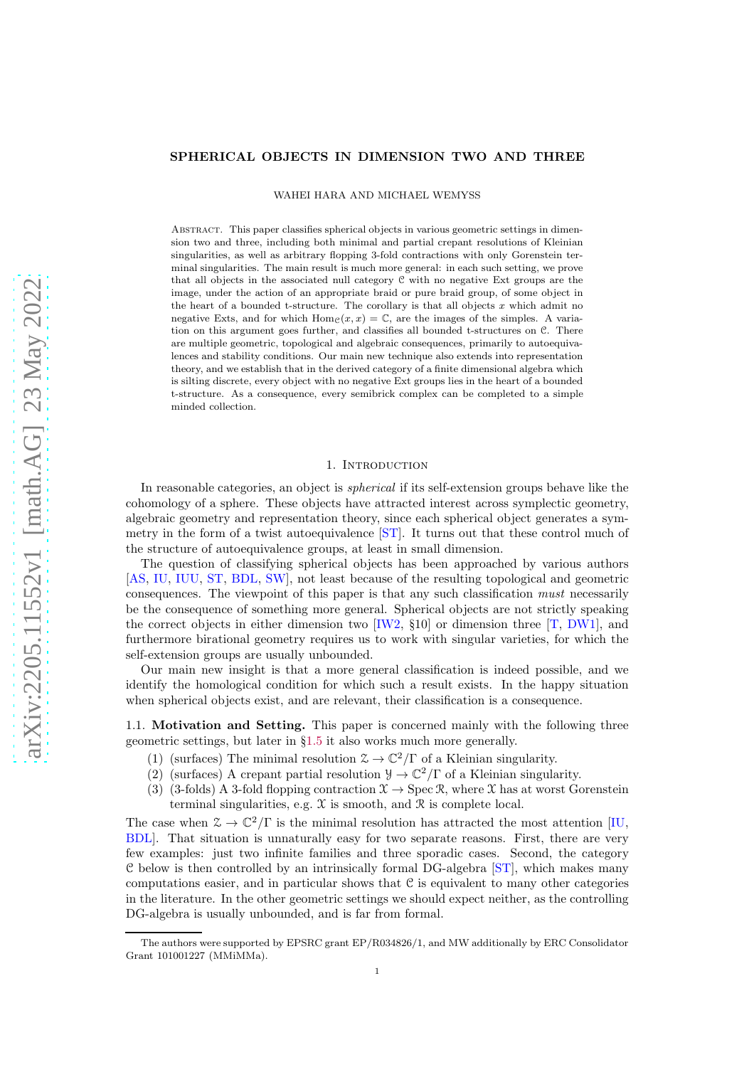## <span id="page-0-0"></span>SPHERICAL OBJECTS IN DIMENSION TWO AND THREE

WAHEI HARA AND MICHAEL WEMYSS

Abstract. This paper classifies spherical objects in various geometric settings in dimension two and three, including both minimal and partial crepant resolutions of Kleinian singularities, as well as arbitrary flopping 3-fold contractions with only Gorenstein terminal singularities. The main result is much more general: in each such setting, we prove that all objects in the associated null category C with no negative Ext groups are the image, under the action of an appropriate braid or pure braid group, of some object in the heart of a bounded t-structure. The corollary is that all objects  $x$  which admit no negative Exts, and for which  $\text{Hom}_{\mathcal{C}}(x, x) = \mathbb{C}$ , are the images of the simples. A variation on this argument goes further, and classifies all bounded t-structures on C. There are multiple geometric, topological and algebraic consequences, primarily to autoequivalences and stability conditions. Our main new technique also extends into representation theory, and we establish that in the derived category of a finite dimensional algebra which is silting discrete, every object with no negative Ext groups lies in the heart of a bounded t-structure. As a consequence, every semibrick complex can be completed to a simple minded collection.

## 1. INTRODUCTION

In reasonable categories, an object is spherical if its self-extension groups behave like the cohomology of a sphere. These objects have attracted interest across symplectic geometry, algebraic geometry and representation theory, since each spherical object generates a symmetry in the form of a twist autoequivalence [\[ST\]](#page-24-0). It turns out that these control much of the structure of autoequivalence groups, at least in small dimension.

The question of classifying spherical objects has been approached by various authors [\[AS,](#page-23-0) [IU,](#page-24-1) [IUU,](#page-24-2) [ST,](#page-24-0) [BDL,](#page-23-1) [SW\]](#page-24-3), not least because of the resulting topological and geometric consequences. The viewpoint of this paper is that any such classification must necessarily be the consequence of something more general. Spherical objects are not strictly speaking the correct objects in either dimension two  $[{\rm W2, S10}]$  or dimension three  $[T, \text{DW1}]$ , and furthermore birational geometry requires us to work with singular varieties, for which the self-extension groups are usually unbounded.

Our main new insight is that a more general classification is indeed possible, and we identify the homological condition for which such a result exists. In the happy situation when spherical objects exist, and are relevant, their classification is a consequence.

1.1. Motivation and Setting. This paper is concerned mainly with the following three geometric settings, but later in §[1.5](#page-3-0) it also works much more generally.

- (1) (surfaces) The minimal resolution  $\mathcal{Z} \to \mathbb{C}^2/\Gamma$  of a Kleinian singularity.
- (2) (surfaces) A crepant partial resolution  $\mathcal{Y} \to \mathbb{C}^2/\Gamma$  of a Kleinian singularity.
- (3) (3-folds) A 3-fold flopping contraction  $\mathfrak{X} \to \text{Spec } \mathfrak{R}$ , where X has at worst Gorenstein terminal singularities, e.g.  $X$  is smooth, and  $R$  is complete local.

The case when  $\mathcal{Z} \to \mathbb{C}^2/\Gamma$  is the minimal resolution has attracted the most attention [\[IU,](#page-24-1) [BDL\]](#page-23-1). That situation is unnaturally easy for two separate reasons. First, there are very few examples: just two infinite families and three sporadic cases. Second, the category C below is then controlled by an intrinsically formal DG-algebra [\[ST\]](#page-24-0), which makes many computations easier, and in particular shows that  $\mathcal C$  is equivalent to many other categories in the literature. In the other geometric settings we should expect neither, as the controlling DG-algebra is usually unbounded, and is far from formal.

The authors were supported by EPSRC grant EP/R034826/1, and MW additionally by ERC Consolidator Grant 101001227 (MMiMMa).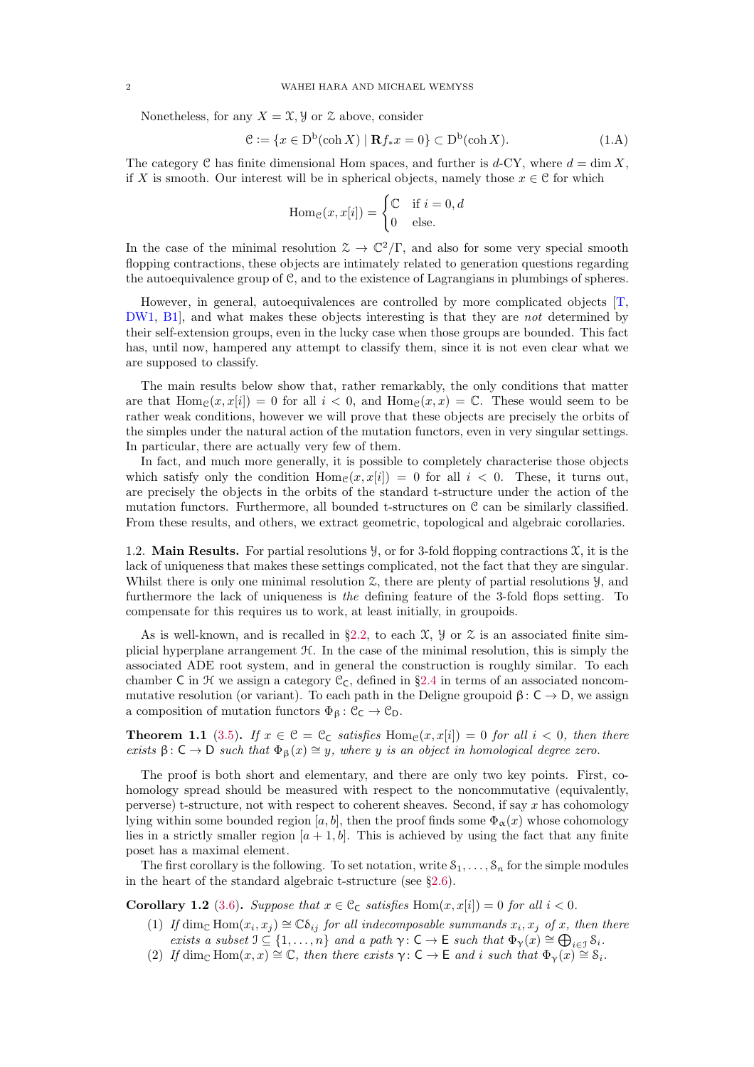<span id="page-1-2"></span>Nonetheless, for any  $X = \mathfrak{X}, \mathfrak{Y}$  or  $\mathfrak{X}$  above, consider

$$
\mathcal{C} := \{ x \in \mathcal{D}^{\mathbf{b}}(\operatorname{coh} X) \mid \mathbf{R} f_* x = 0 \} \subset \mathcal{D}^{\mathbf{b}}(\operatorname{coh} X). \tag{1.A}
$$

The category C has finite dimensional Hom spaces, and further is  $d$ -CY, where  $d = \dim X$ . if X is smooth. Our interest will be in spherical objects, namely those  $x \in \mathcal{C}$  for which

<span id="page-1-1"></span>
$$
\operatorname{Hom}_{\mathcal{C}}(x, x[i]) = \begin{cases} \mathcal{C} & \text{if } i = 0, d \\ 0 & \text{else.} \end{cases}
$$

In the case of the minimal resolution  $\mathcal{Z} \to \mathbb{C}^2/\Gamma$ , and also for some very special smooth flopping contractions, these objects are intimately related to generation questions regarding the autoequivalence group of C, and to the existence of Lagrangians in plumbings of spheres.

However, in general, autoequivalences are controlled by more complicated objects [T]. [DW1,](#page-23-2) [B1\]](#page-23-3), and what makes these objects interesting is that they are not determined by their self-extension groups, even in the lucky case when those groups are bounded. This fact has, until now, hampered any attempt to classify them, since it is not even clear what we are supposed to classify.

The main results below show that, rather remarkably, the only conditions that matter are that  $\text{Hom}_{\mathcal{C}}(x, x[i]) = 0$  for all  $i < 0$ , and  $\text{Hom}_{\mathcal{C}}(x, x) = \mathbb{C}$ . These would seem to be rather weak conditions, however we will prove that these objects are precisely the orbits of the simples under the natural action of the mutation functors, even in very singular settings. In particular, there are actually very few of them.

In fact, and much more generally, it is possible to completely characterise those objects which satisfy only the condition  $\text{Hom}_{\mathcal{C}}(x, x[i]) = 0$  for all  $i < 0$ . These, it turns out, are precisely the objects in the orbits of the standard t-structure under the action of the mutation functors. Furthermore, all bounded t-structures on C can be similarly classified. From these results, and others, we extract geometric, topological and algebraic corollaries.

1.2. **Main Results.** For partial resolutions  $\mathcal{Y}$ , or for 3-fold flopping contractions  $\mathcal{X}$ , it is the lack of uniqueness that makes these settings complicated, not the fact that they are singular. Whilst there is only one minimal resolution  $\mathfrak{X}$ , there are plenty of partial resolutions  $\mathcal{Y}$ , and furthermore the lack of uniqueness is the defining feature of the 3-fold flops setting. To compensate for this requires us to work, at least initially, in groupoids.

As is well-known, and is recalled in §[2.2,](#page-4-0) to each  $\mathfrak{X}$ ,  $\mathfrak{Y}$  or  $\mathfrak{X}$  is an associated finite simplicial hyperplane arrangement  $H$ . In the case of the minimal resolution, this is simply the associated ADE root system, and in general the construction is roughly similar. To each chamber C in  $\mathcal H$  we assign a category  $\mathfrak C_{\mathsf C}$ , defined in §[2.4](#page-6-0) in terms of an associated noncommutative resolution (or variant). To each path in the Deligne groupoid  $\beta: C \to D$ , we assign a composition of mutation functors  $\Phi_{\beta}: \mathcal{C}_{\mathsf{C}} \to \mathcal{C}_{\mathsf{D}}$ .

**Theorem 1.1** [\(3.5\)](#page-10-0). If  $x \in \mathcal{C} = \mathcal{C}_C$  satisfies  $\text{Hom}_{\mathcal{C}}(x, x[i]) = 0$  for all  $i < 0$ , then there exists  $\beta: C \to D$  such that  $\Phi_{\beta}(x) \cong y$ , where y is an object in homological degree zero.

The proof is both short and elementary, and there are only two key points. First, cohomology spread should be measured with respect to the noncommutative (equivalently, perverse) t-structure, not with respect to coherent sheaves. Second, if say  $x$  has cohomology lying within some bounded region [a, b], then the proof finds some  $\Phi_{\alpha}(x)$  whose cohomology lies in a strictly smaller region  $[a + 1, b]$ . This is achieved by using the fact that any finite poset has a maximal element.

The first corollary is the following. To set notation, write  $S_1, \ldots, S_n$  for the simple modules in the heart of the standard algebraic t-structure (see §[2.6\)](#page-8-0).

<span id="page-1-0"></span>Corollary 1.2 [\(3.6\)](#page-11-0). Suppose that  $x \in \mathcal{C}_{\mathsf{C}}$  satisfies  $\text{Hom}(x, x[i]) = 0$  for all  $i < 0$ .

- (1) If  $\dim_{\mathbb{C}} \text{Hom}(x_i, x_j) \cong \mathbb{C}\delta_{ij}$  for all indecomposable summands  $x_i, x_j$  of x, then there exists a subset  $\mathfrak{I} \subseteq \{1, \ldots, n\}$  and a path  $\gamma : \mathsf{C} \to \mathsf{E}$  such that  $\Phi_{\gamma}(x) \cong \bigoplus_{i \in \mathcal{I}} S_i$ .
- (2) If dim<sub>C</sub> Hom $(x, x) \cong \mathbb{C}$ , then there exists  $\gamma : \mathsf{C} \to \mathsf{E}$  and i such that  $\Phi_{\gamma}(x) \cong \mathsf{S}_i$ .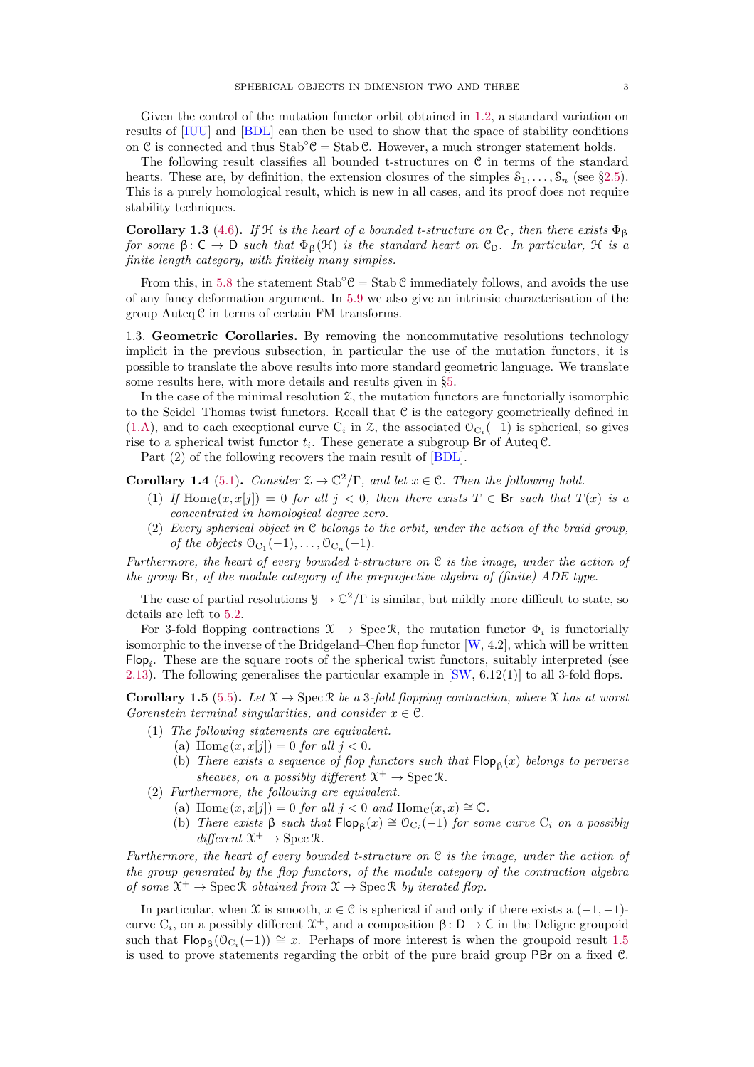<span id="page-2-1"></span>Given the control of the mutation functor orbit obtained in [1.2,](#page-1-0) a standard variation on results of [\[IUU\]](#page-24-2) and [\[BDL\]](#page-23-1) can then be used to show that the space of stability conditions on C is connected and thus  $Stab^cC = Stab C$ . However, a much stronger statement holds.

The following result classifies all bounded t-structures on C in terms of the standard hearts. These are, by definition, the extension closures of the simples  $S_1, \ldots, S_n$  (see §[2.5\)](#page-8-1). This is a purely homological result, which is new in all cases, and its proof does not require stability techniques.

**Corollary 1.3** [\(4.6\)](#page-14-0). If H is the heart of a bounded t-structure on  $\mathcal{C}_{\mathcal{C}}$ , then there exists  $\Phi_{\mathcal{B}}$ for some  $\beta: \mathsf{C} \to \mathsf{D}$  such that  $\Phi_{\beta}(\mathfrak{H})$  is the standard heart on  $\mathfrak{C}_{\mathsf{D}}$ . In particular,  $\mathfrak{H}$  is a finite length category, with finitely many simples.

From this, in [5.8](#page-18-0) the statement  $Stab^{\circ}C = Stab C$  immediately follows, and avoids the use of any fancy deformation argument. In [5.9](#page-18-1) we also give an intrinsic characterisation of the group  $\text{Auteq } \mathcal{C}$  in terms of certain FM transforms.

1.3. Geometric Corollaries. By removing the noncommutative resolutions technology implicit in the previous subsection, in particular the use of the mutation functors, it is possible to translate the above results into more standard geometric language. We translate some results here, with more details and results given in §[5.](#page-15-0)

In the case of the minimal resolution  $\mathfrak{L}$ , the mutation functors are functorially isomorphic to the Seidel–Thomas twist functors. Recall that C is the category geometrically defined in [\(1.A\)](#page-1-1), and to each exceptional curve  $C_i$  in  $\mathcal{Z}$ , the associated  $\mathcal{O}_{C_i}(-1)$  is spherical, so gives rise to a spherical twist functor  $t_i$ . These generate a subgroup Br of Auteq C.

Part (2) of the following recovers the main result of [\[BDL\]](#page-23-1).

**Corollary 1.4** [\(5.1\)](#page-15-1). Consider  $\mathcal{Z} \to \mathbb{C}^2/\Gamma$ , and let  $x \in \mathcal{C}$ . Then the following hold.

- (1) If  $\text{Hom}_{\mathcal{C}}(x, x[j]) = 0$  for all  $j < 0$ , then there exists  $T \in \mathcal{B}$ r such that  $T(x)$  is a concentrated in homological degree zero.
- (2) Every spherical object in  $C$  belongs to the orbit, under the action of the braid group, of the objects  $\mathcal{O}_{C_1}(-1), \ldots, \mathcal{O}_{C_n}(-1)$ .

Furthermore, the heart of every bounded t-structure on  $C$  is the image, under the action of the group Br, of the module category of the preprojective algebra of (finite) ADE type.

The case of partial resolutions  $\mathcal{Y} \to \mathbb{C}^2/\Gamma$  is similar, but mildly more difficult to state, so details are left to [5.2.](#page-16-0)

For 3-fold flopping contractions  $\mathfrak{X} \to \operatorname{Spec} \mathfrak{R}$ , the mutation functor  $\Phi_i$  is functorially isomorphic to the inverse of the Bridgeland–Chen flop functor  $[W, 4.2]$ , which will be written  $\mathsf{Flop}_i$ . These are the square roots of the spherical twist functors, suitably interpreted (see [2.13\)](#page-8-2). The following generalises the particular example in  $\text{SW}, 6.12(1)$  to all 3-fold flops.

<span id="page-2-0"></span>Corollary 1.5 [\(5.5\)](#page-17-0). Let  $\mathfrak{X} \to \text{Spec } \mathfrak{R}$  be a 3-fold flopping contraction, where  $\mathfrak{X}$  has at worst Gorenstein terminal singularities, and consider  $x \in \mathcal{C}$ .

- (1) The following statements are equivalent.
	- (a) Home $(x, x[i]) = 0$  for all  $i < 0$ .
		- (b) There exists a sequence of flop functors such that  $\mathsf{Flop}_\beta(x)$  belongs to perverse sheaves, on a possibly different  $\mathfrak{X}^+ \to \operatorname{Spec} \mathfrak{R}$ .
- (2) Furthermore, the following are equivalent.
	- (a) Hom $e(x, x[j]) = 0$  for all  $j < 0$  and Hom $e(x, x) \cong \mathbb{C}$ .
	- (b) There exists  $\beta$  such that  $\mathsf{Flop}_{\beta}(x) \cong \mathcal{O}_{C_i}(-1)$  for some curve  $C_i$  on a possibly  $differential \mathfrak{X}^+ \to \operatorname{Spec} \mathfrak{R}.$

Furthermore, the heart of every bounded t-structure on  $C$  is the image, under the action of the group generated by the flop functors, of the module category of the contraction algebra of some  $\mathfrak{X}^+ \to \operatorname{Spec} \mathfrak{R}$  obtained from  $\mathfrak{X} \to \operatorname{Spec} \mathfrak{R}$  by iterated flop.

In particular, when  $\mathfrak X$  is smooth,  $x \in \mathfrak C$  is spherical if and only if there exists a  $(-1, -1)$ curve  $C_i$ , on a possibly different  $\mathfrak{X}^+$ , and a composition  $\beta: \mathsf{D} \to \mathsf{C}$  in the Deligne groupoid such that  $\mathsf{Flop}_{\beta}(0_{C_i}(-1)) \cong x$ . Perhaps of more interest is when the groupoid result [1.5](#page-2-0) is used to prove statements regarding the orbit of the pure braid group PBr on a fixed C.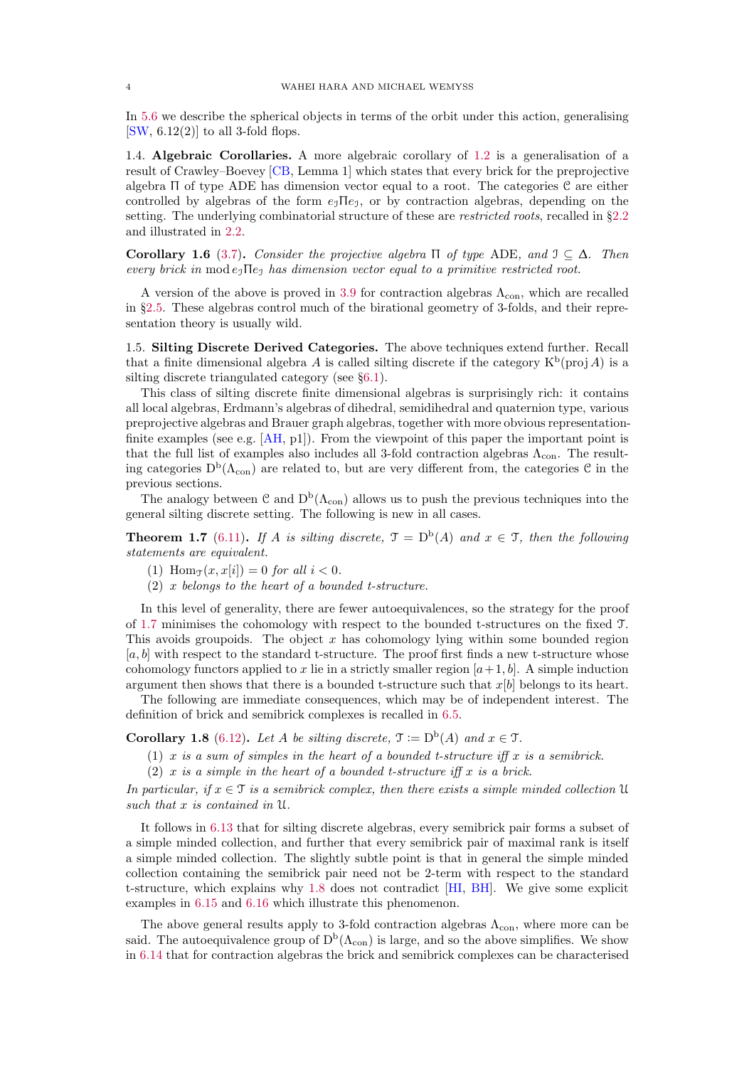<span id="page-3-3"></span>In [5.6](#page-17-1) we describe the spherical objects in terms of the orbit under this action, generalising  $[SW, 6.12(2)]$  $[SW, 6.12(2)]$  to all 3-fold flops.

1.4. Algebraic Corollaries. A more algebraic corollary of [1.2](#page-1-0) is a generalisation of a result of Crawley–Boevey [\[CB,](#page-23-4) Lemma 1] which states that every brick for the preprojective algebra Π of type ADE has dimension vector equal to a root. The categories C are either controlled by algebras of the form  $e_1\Pi e_1$ , or by contraction algebras, depending on the setting. The underlying combinatorial structure of these are *restricted roots*, recalled in §[2.2](#page-4-0) and illustrated in [2.2.](#page-5-0)

Corollary 1.6 [\(3.7\)](#page-12-0). Consider the projective algebra  $\Pi$  of type ADE, and  $\mathfrak{I} \subset \Delta$ . Then every brick in mod  $e_1 \Pi e_1$  has dimension vector equal to a primitive restricted root.

A version of the above is proved in [3.9](#page-12-1) for contraction algebras  $\Lambda_{con}$ , which are recalled in §[2.5.](#page-8-1) These algebras control much of the birational geometry of 3-folds, and their representation theory is usually wild.

<span id="page-3-0"></span>1.5. Silting Discrete Derived Categories. The above techniques extend further. Recall that a finite dimensional algebra A is called silting discrete if the category  $K^b$ (proj A) is a silting discrete triangulated category (see §[6.1\)](#page-18-2).

This class of silting discrete finite dimensional algebras is surprisingly rich: it contains all local algebras, Erdmann's algebras of dihedral, semidihedral and quaternion type, various preprojective algebras and Brauer graph algebras, together with more obvious representationfinite examples (see e.g.  $[AH, p1]$ ). From the viewpoint of this paper the important point is that the full list of examples also includes all 3-fold contraction algebras  $\Lambda_{\rm con}$ . The resulting categories  $D^b(\Lambda_{con})$  are related to, but are very different from, the categories  $\mathcal C$  in the previous sections.

The analogy between  $\mathcal{C}$  and  $D^b(\Lambda_{con})$  allows us to push the previous techniques into the general silting discrete setting. The following is new in all cases.

<span id="page-3-1"></span>**Theorem 1.7** [\(6.11\)](#page-20-0). If A is silting discrete,  $\mathcal{T} = D^b(A)$  and  $x \in \mathcal{T}$ , then the following statements are equivalent.

- (1) Hom $\tau(x, x[i]) = 0$  for all  $i < 0$ .
- (2) x belongs to the heart of a bounded t-structure.

In this level of generality, there are fewer autoequivalences, so the strategy for the proof of [1.7](#page-3-1) minimises the cohomology with respect to the bounded t-structures on the fixed T. This avoids groupoids. The object  $x$  has cohomology lying within some bounded region  $[a, b]$  with respect to the standard t-structure. The proof first finds a new t-structure whose cohomology functors applied to x lie in a strictly smaller region  $[a+1, b]$ . A simple induction argument then shows that there is a bounded t-structure such that  $x[b]$  belongs to its heart.

The following are immediate consequences, which may be of independent interest. The definition of brick and semibrick complexes is recalled in [6.5.](#page-19-0)

<span id="page-3-2"></span>**Corollary 1.8** [\(6.12\)](#page-21-0). Let A be silting discrete,  $\mathfrak{T} := D^b(A)$  and  $x \in \mathfrak{T}$ .

- (1) x is a sum of simples in the heart of a bounded t-structure iff x is a semibrick.
- (2) x is a simple in the heart of a bounded t-structure iff x is a brick.

In particular, if  $x \in \mathcal{T}$  is a semibrick complex, then there exists a simple minded collection U such that x is contained in U.

It follows in [6.13](#page-21-1) that for silting discrete algebras, every semibrick pair forms a subset of a simple minded collection, and further that every semibrick pair of maximal rank is itself a simple minded collection. The slightly subtle point is that in general the simple minded collection containing the semibrick pair need not be 2-term with respect to the standard t-structure, which explains why [1.8](#page-3-2) does not contradict [\[HI,](#page-23-6) [BH\]](#page-23-7). We give some explicit examples in [6.15](#page-22-0) and [6.16](#page-22-1) which illustrate this phenomenon.

The above general results apply to 3-fold contraction algebras  $\Lambda_{con}$ , where more can be said. The autoequivalence group of  $D^b(\Lambda_{con})$  is large, and so the above simplifies. We show in [6.14](#page-22-2) that for contraction algebras the brick and semibrick complexes can be characterised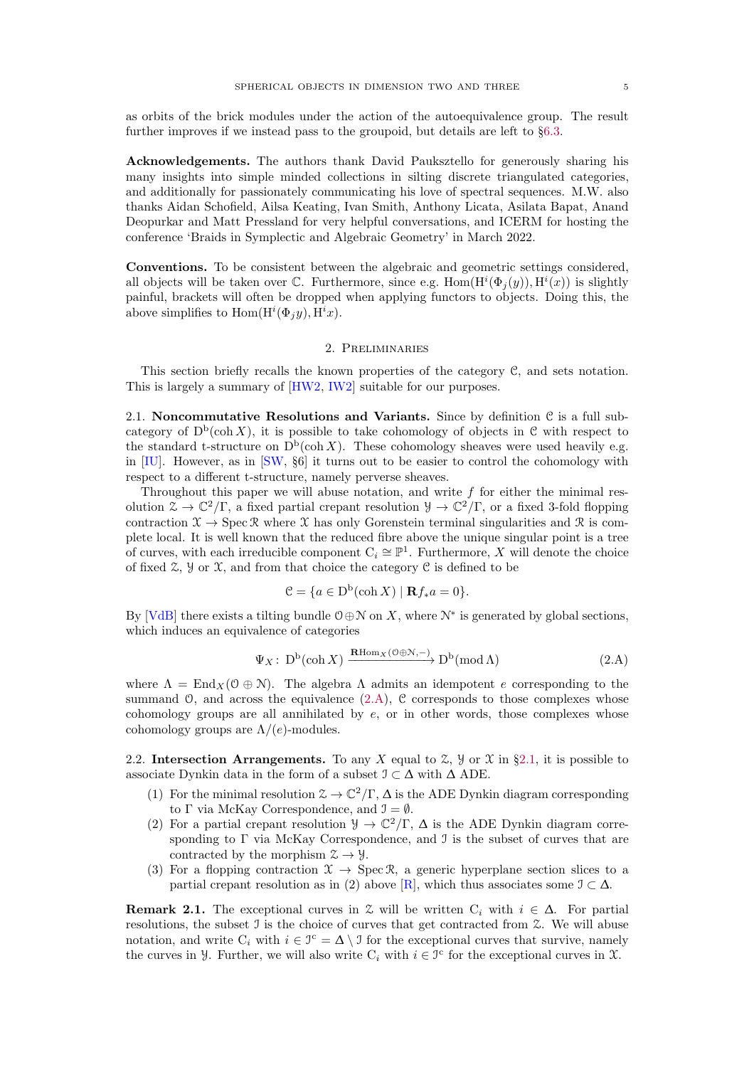<span id="page-4-4"></span>as orbits of the brick modules under the action of the autoequivalence group. The result further improves if we instead pass to the groupoid, but details are left to §[6.3.](#page-22-3)

Acknowledgements. The authors thank David Pauksztello for generously sharing his many insights into simple minded collections in silting discrete triangulated categories, and additionally for passionately communicating his love of spectral sequences. M.W. also thanks Aidan Schofield, Ailsa Keating, Ivan Smith, Anthony Licata, Asilata Bapat, Anand Deopurkar and Matt Pressland for very helpful conversations, and ICERM for hosting the conference 'Braids in Symplectic and Algebraic Geometry' in March 2022.

Conventions. To be consistent between the algebraic and geometric settings considered, all objects will be taken over  $\mathbb C$ . Furthermore, since e.g.  $\text{Hom}(H^i(\Phi_j(y)), H^i(x))$  is slightly painful, brackets will often be dropped when applying functors to objects. Doing this, the above simplifies to  $Hom(H^{i}(\Phi_j y), H^i x)$ .

#### 2. Preliminaries

This section briefly recalls the known properties of the category C, and sets notation. This is largely a summary of [\[HW2,](#page-23-8) [IW2\]](#page-24-4) suitable for our purposes.

<span id="page-4-2"></span>2.1. Noncommutative Resolutions and Variants. Since by definition  $\mathcal C$  is a full subcategory of  $D^b(\text{coh } X)$ , it is possible to take cohomology of objects in C with respect to the standard t-structure on  $D^b(\operatorname{coh} X)$ . These cohomology sheaves were used heavily e.g. in [\[IU\]](#page-24-1). However, as in [\[SW,](#page-24-3) §6] it turns out to be easier to control the cohomology with respect to a different t-structure, namely perverse sheaves.

Throughout this paper we will abuse notation, and write  $f$  for either the minimal resolution  $\mathcal{Z} \to \mathbb{C}^2/\Gamma$ , a fixed partial crepant resolution  $\mathcal{Y} \to \mathbb{C}^2/\Gamma$ , or a fixed 3-fold flopping contraction  $\mathfrak{X} \to \text{Spec } \mathfrak{X}$  where  $\mathfrak{X}$  has only Gorenstein terminal singularities and  $\mathfrak{X}$  is complete local. It is well known that the reduced fibre above the unique singular point is a tree of curves, with each irreducible component  $C_i \cong \mathbb{P}^1$ . Furthermore, X will denote the choice of fixed  $\mathfrak{X}, \mathfrak{Y}$  or  $\mathfrak{X},$  and from that choice the category  $\mathfrak{C}$  is defined to be

$$
\mathcal{C} = \{ a \in \mathcal{D}^{\mathsf{b}}(\operatorname{coh} X) \mid \mathbf{R} f_* a = 0 \}.
$$

By [\[VdB\]](#page-24-7) there exists a tilting bundle  $0 \oplus \mathcal{N}$  on X, where  $\mathcal{N}^*$  is generated by global sections, which induces an equivalence of categories

<span id="page-4-1"></span>
$$
\Psi_X \colon D^b(\operatorname{coh} X) \xrightarrow{\mathbf{R}\operatorname{Hom}_X(\mathcal{O}\oplus\mathcal{N}, -)} D^b(\operatorname{mod} \Lambda) \tag{2.A}
$$

where  $\Lambda = \text{End}_X(\mathcal{O} \oplus \mathcal{N})$ . The algebra  $\Lambda$  admits an idempotent e corresponding to the summand  $\mathcal{O}$ , and across the equivalence  $(2.A)$ ,  $\mathcal C$  corresponds to those complexes whose cohomology groups are all annihilated by  $e$ , or in other words, those complexes whose cohomology groups are  $\Lambda/(e)$ -modules.

<span id="page-4-0"></span>2.2. Intersection Arrangements. To any X equal to  $\mathcal{Z}$ ,  $\mathcal{Y}$  or  $\mathcal{X}$  in §[2.1,](#page-4-2) it is possible to associate Dynkin data in the form of a subset  $\mathcal{I} \subset \Delta$  with  $\Delta$  ADE.

- (1) For the minimal resolution  $\mathcal{Z} \to \mathbb{C}^2/\Gamma$ ,  $\Delta$  is the ADE Dynkin diagram corresponding to  $\Gamma$  via McKay Correspondence, and  $\mathcal{I} = \emptyset$ .
- (2) For a partial crepant resolution  $\mathcal{Y} \to \mathbb{C}^2/\Gamma$ ,  $\Delta$  is the ADE Dynkin diagram corresponding to  $\Gamma$  via McKay Correspondence, and  $\mathcal I$  is the subset of curves that are contracted by the morphism  $\mathcal{Z} \to \mathcal{Y}$ .
- (3) For a flopping contraction  $\mathfrak{X} \to \operatorname{Spec} \mathfrak{R}$ , a generic hyperplane section slices to a partial crepant resolution as in (2) above [\[R\]](#page-24-8), which thus associates some  $\mathcal{I} \subset \Delta$ .

<span id="page-4-3"></span>**Remark 2.1.** The exceptional curves in  $\mathcal{Z}$  will be written C<sub>i</sub> with  $i \in \Delta$ . For partial resolutions, the subset I is the choice of curves that get contracted from Z. We will abuse notation, and write  $C_i$  with  $i \in \mathcal{I}^c = \Delta \setminus \mathcal{I}$  for the exceptional curves that survive, namely the curves in *y*. Further, we will also write  $C_i$  with  $i \in \mathcal{I}^c$  for the exceptional curves in *X*.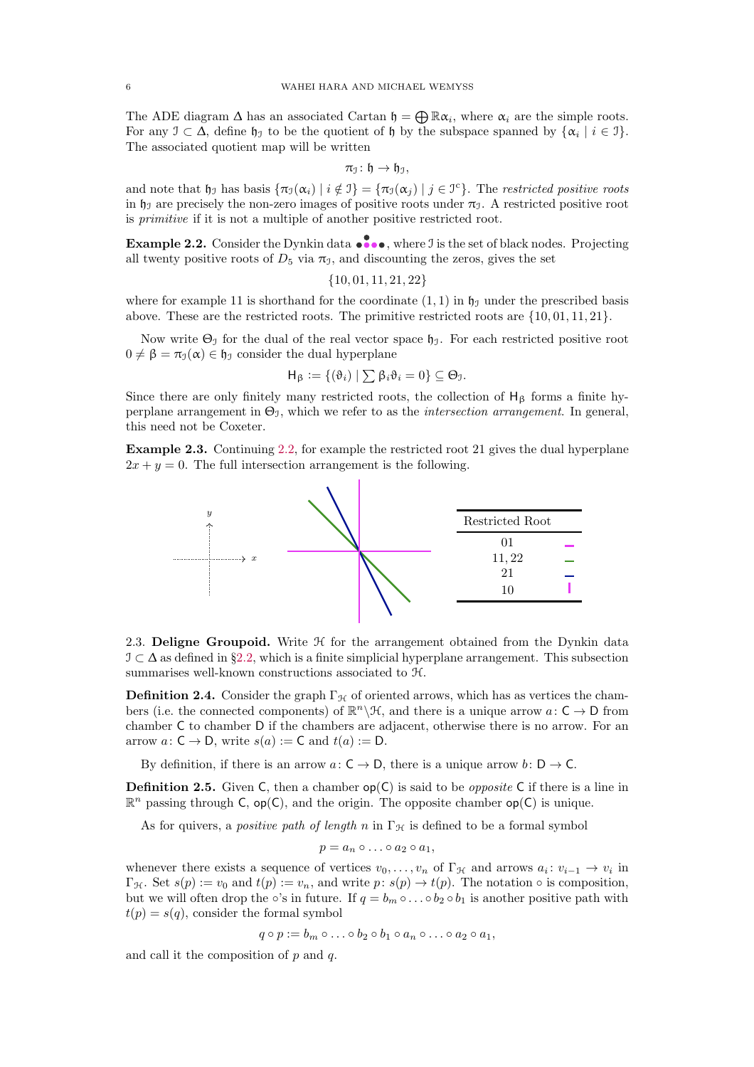The ADE diagram  $\Delta$  has an associated Cartan  $\mathfrak{h} = \bigoplus \mathbb{R}\alpha_i$ , where  $\alpha_i$  are the simple roots. For any  $\mathfrak{I} \subset \Delta$ , define  $\mathfrak{h}_{\mathfrak{I}}$  to be the quotient of  $\mathfrak{h}$  by the subspace spanned by  $\{\alpha_i \mid i \in \mathfrak{I}\}.$ The associated quotient map will be written

$$
\pi_{\mathfrak{I}}\colon \mathfrak{h}\to \mathfrak{h}_{\mathfrak{I}},
$$

and note that  $\mathfrak{h}_{\mathfrak{I}}$  has basis  $\{\pi_{\mathfrak{I}}(\alpha_i) \mid i \notin \mathfrak{I}\} = \{\pi_{\mathfrak{I}}(\alpha_j) \mid j \in \mathfrak{I}^c\}$ . The restricted positive roots in  $\mathfrak{h}_\mathfrak{I}$  are precisely the non-zero images of positive roots under  $\pi_\mathfrak{I}$ . A restricted positive root is primitive if it is not a multiple of another positive restricted root.

<span id="page-5-0"></span>**Example 2.2.** Consider the Dynkin data  $\bullet \bullet \bullet \bullet$ , where J is the set of black nodes. Projecting all twenty positive roots of  $D_5$  via  $\pi_1$ , and discounting the zeros, gives the set

$$
\{10,01,11,21,22\}
$$

where for example 11 is shorthand for the coordinate  $(1, 1)$  in  $\mathfrak{h}_1$  under the prescribed basis above. These are the restricted roots. The primitive restricted roots are  $\{10, 01, 11, 21\}$ .

Now write  $\Theta_{\mathcal{I}}$  for the dual of the real vector space  $\mathfrak{h}_{\mathcal{I}}$ . For each restricted positive root  $0 \neq \beta = \pi_1(\alpha) \in \mathfrak{h}_1$  consider the dual hyperplane

$$
\mathsf{H}_{\beta} := \{(\vartheta_i) \mid \sum \beta_i \vartheta_i = 0\} \subseteq \Theta_{\mathcal{I}}.
$$

Since there are only finitely many restricted roots, the collection of  $H_\beta$  forms a finite hyperplane arrangement in  $\Theta_1$ , which we refer to as the *intersection arrangement*. In general, this need not be Coxeter.

<span id="page-5-1"></span>Example 2.3. Continuing [2.2,](#page-5-0) for example the restricted root 21 gives the dual hyperplane  $2x + y = 0$ . The full intersection arrangement is the following.



2.3. Deligne Groupoid. Write  $H$  for the arrangement obtained from the Dynkin data  $\mathcal{I} \subset \Delta$  as defined in §[2.2,](#page-4-0) which is a finite simplicial hyperplane arrangement. This subsection summarises well-known constructions associated to H.

**Definition 2.4.** Consider the graph  $\Gamma_{\mathcal{H}}$  of oriented arrows, which has as vertices the chambers (i.e. the connected components) of  $\mathbb{R}^n \backslash \mathcal{H}$ , and there is a unique arrow  $a: \mathsf{C} \to \mathsf{D}$  from chamber C to chamber D if the chambers are adjacent, otherwise there is no arrow. For an arrow  $a: \mathsf{C} \to \mathsf{D}$ , write  $s(a) := \mathsf{C}$  and  $t(a) := \mathsf{D}$ .

By definition, if there is an arrow  $a: C \to D$ , there is a unique arrow  $b: D \to C$ .

**Definition 2.5.** Given C, then a chamber  $op(C)$  is said to be *opposite* C if there is a line in  $\mathbb{R}^n$  passing through C, op(C), and the origin. The opposite chamber op(C) is unique.

As for quivers, a *positive path of length* n in  $\Gamma_{\mathcal{H}}$  is defined to be a formal symbol

$$
p = a_n \circ \ldots \circ a_2 \circ a_1,
$$

whenever there exists a sequence of vertices  $v_0, \ldots, v_n$  of  $\Gamma_{\mathcal{H}}$  and arrows  $a_i : v_{i-1} \to v_i$  in  $\Gamma_{\mathcal{H}}$ . Set  $s(p) := v_0$  and  $t(p) := v_n$ , and write  $p: s(p) \to t(p)$ . The notation  $\circ$  is composition, but we will often drop the ∘'s in future. If  $q = b_m \circ \dots \circ b_2 \circ b_1$  is another positive path with  $t(p) = s(q)$ , consider the formal symbol

$$
q \circ p := b_m \circ \dots \circ b_2 \circ b_1 \circ a_n \circ \dots \circ a_2 \circ a_1,
$$

and call it the composition of  $p$  and  $q$ .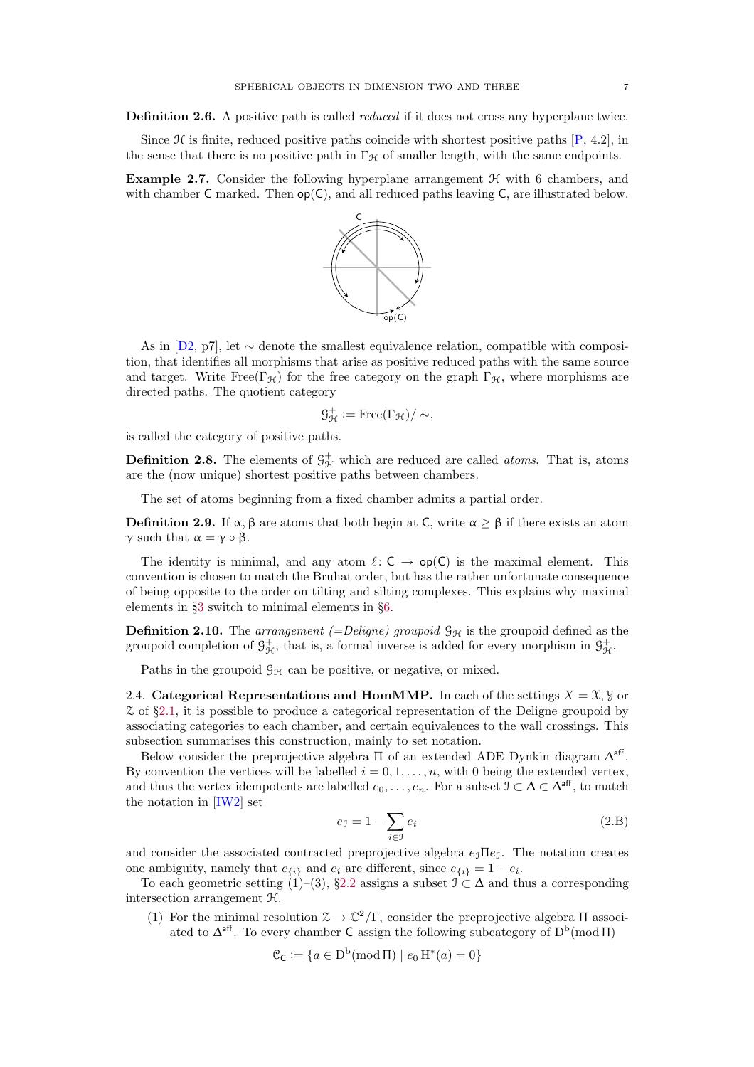<span id="page-6-4"></span>Definition 2.6. A positive path is called *reduced* if it does not cross any hyperplane twice.

Since  $\mathcal H$  is finite, reduced positive paths coincide with shortest positive paths  $[P, 4.2]$ , in the sense that there is no positive path in  $\Gamma_{\mathcal{H}}$  of smaller length, with the same endpoints.

<span id="page-6-1"></span>**Example 2.7.** Consider the following hyperplane arrangement  $H$  with 6 chambers, and with chamber  $C$  marked. Then  $op(C)$ , and all reduced paths leaving  $C$ , are illustrated below.



As in [\[D2,](#page-23-9) p7], let ∼ denote the smallest equivalence relation, compatible with composition, that identifies all morphisms that arise as positive reduced paths with the same source and target. Write Free( $\Gamma_{\mathcal{H}}$ ) for the free category on the graph  $\Gamma_{\mathcal{H}}$ , where morphisms are directed paths. The quotient category

$$
\mathcal{G}_{\mathcal{H}}^{+} := \operatorname{Free}(\Gamma_{\mathcal{H}})/\sim,
$$

is called the category of positive paths.

**Definition 2.8.** The elements of  $\mathcal{G}_{\mathcal{H}}^{+}$  which are reduced are called *atoms*. That is, atoms are the (now unique) shortest positive paths between chambers.

The set of atoms beginning from a fixed chamber admits a partial order.

<span id="page-6-2"></span>**Definition 2.9.** If  $\alpha$ , β are atoms that both begin at C, write  $\alpha > \beta$  if there exists an atom  $\gamma$  such that  $\alpha = \gamma \circ \beta$ .

The identity is minimal, and any atom  $\ell: \mathsf{C} \to \mathsf{op}(\mathsf{C})$  is the maximal element. This convention is chosen to match the Bruhat order, but has the rather unfortunate consequence of being opposite to the order on tilting and silting complexes. This explains why maximal elements in §[3](#page-8-3) switch to minimal elements in §[6.](#page-18-3)

**Definition 2.10.** The arrangement (=Deligne) groupoid  $\mathcal{G}_{\mathcal{H}}$  is the groupoid defined as the groupoid completion of  $\mathcal{G}_{\mathcal{H}}^+$ , that is, a formal inverse is added for every morphism in  $\mathcal{G}_{\mathcal{H}}^+$ .

Paths in the groupoid  $\mathcal{G}_{H}$  can be positive, or negative, or mixed.

<span id="page-6-0"></span>2.4. Categorical Representations and HomMMP. In each of the settings  $X = \mathfrak{X}, \mathfrak{Y}$  or  $\zeta$  of §[2.1,](#page-4-2) it is possible to produce a categorical representation of the Deligne groupoid by associating categories to each chamber, and certain equivalences to the wall crossings. This subsection summarises this construction, mainly to set notation.

Below consider the preprojective algebra  $\Pi$  of an extended ADE Dynkin diagram  $\Delta^{\mathsf{aff}}$ . By convention the vertices will be labelled  $i = 0, 1, \ldots, n$ , with 0 being the extended vertex, and thus the vertex idempotents are labelled  $e_0, \ldots, e_n$ . For a subset  $\mathcal{I} \subset \Delta \subset \Delta^{\text{aff}}$ , to match the notation in [\[IW2\]](#page-24-4) set

<span id="page-6-3"></span>
$$
e_{\mathcal{I}} = 1 - \sum_{i \in \mathcal{I}} e_i \tag{2.B}
$$

and consider the associated contracted preprojective algebra  $e_1 \Pi e_1$ . The notation creates one ambiguity, namely that  $e_{\{i\}}$  and  $e_i$  are different, since  $e_{\{i\}} = 1 - e_i$ .

To each geometric setting  $(1)$ – $(3)$ , §[2.2](#page-4-0) assigns a subset  $\mathcal{I} \subset \Delta$  and thus a corresponding intersection arrangement H.

(1) For the minimal resolution  $\mathcal{Z} \to \mathbb{C}^2/\Gamma$ , consider the preprojective algebra  $\Pi$  associated to  $\Delta^{\mathsf{aff}}$ . To every chamber C assign the following subcategory of  $D^{\mathsf{b}}(\text{mod }\Pi)$ 

$$
\mathcal{C}_{\mathsf{C}} := \{ a \in \mathsf{D}^{\mathrm{b}}(\mathsf{mod}\,\Pi) \mid e_0 \, \mathrm{H}^*(a) = 0 \}
$$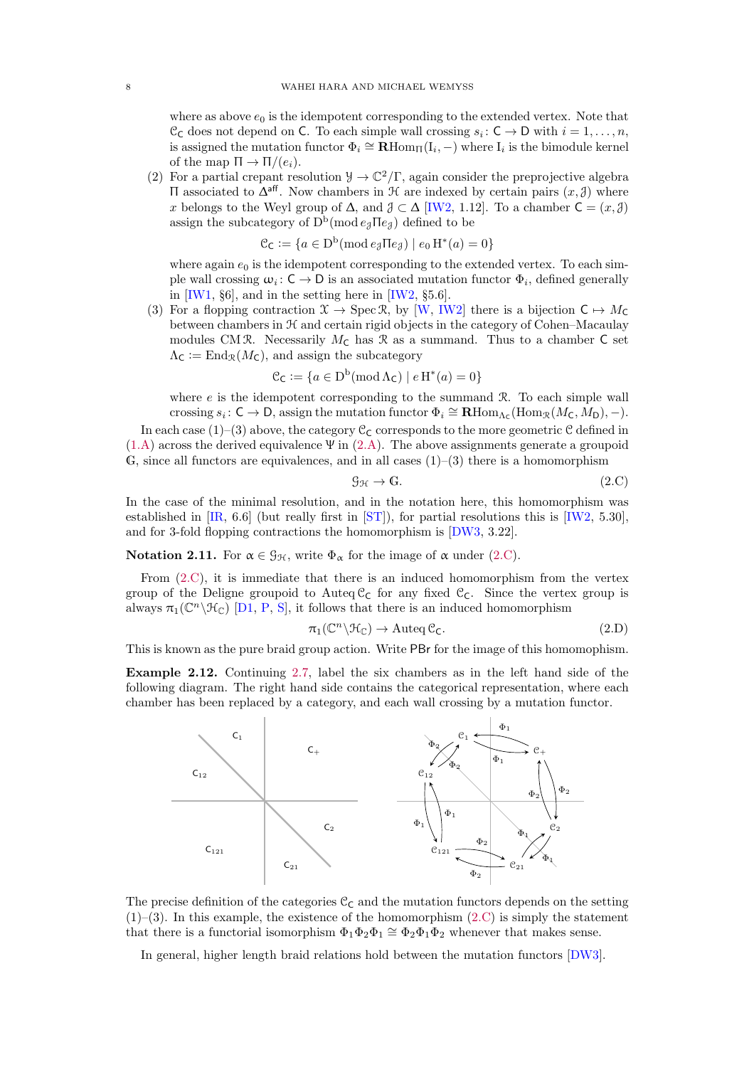<span id="page-7-3"></span>where as above  $e_0$  is the idempotent corresponding to the extended vertex. Note that  $\mathcal{C}_{\mathsf{C}}$  does not depend on  $\mathsf{C}$ . To each simple wall crossing  $s_i: \mathsf{C} \to \mathsf{D}$  with  $i = 1, \ldots, n$ , is assigned the mutation functor  $\Phi_i \cong \mathbf{R} \text{Hom}_{\Pi}(\mathbf{I}_i, -)$  where  $\mathbf{I}_i$  is the bimodule kernel of the map  $\Pi \to \Pi/(e_i)$ .

(2) For a partial crepant resolution  $\mathcal{Y} \to \mathbb{C}^2/\Gamma$ , again consider the preprojective algebra  $\Pi$  associated to  $\Delta^{\text{aff}}$ . Now chambers in  $\mathcal H$  are indexed by certain pairs  $(x, \mathcal Y)$  where x belongs to the Weyl group of  $\Delta$ , and  $\mathcal{J} \subset \Delta$  [\[IW2,](#page-24-4) 1.12]. To a chamber  $\mathsf{C} = (x, \mathcal{J})$ assign the subcategory of  $D^b(\text{mod }e_{\mathcal{J}}\Pi e_{\mathcal{J}})$  defined to be

$$
\mathcal{C}_{\mathsf{C}} := \{ a \in D^b(\text{mod } e_{\mathfrak{F}} \Pi e_{\mathfrak{F}}) \mid e_0 \operatorname{H}^*(a) = 0 \}
$$

where again  $e_0$  is the idempotent corresponding to the extended vertex. To each simple wall crossing  $\omega_i: \mathsf{C} \to \mathsf{D}$  is an associated mutation functor  $\Phi_i$ , defined generally in [\[IW1,](#page-24-10) §6], and in the setting here in [\[IW2,](#page-24-4) §5.6].

(3) For a flopping contraction  $\mathfrak{X} \to \text{Spec } \mathfrak{R}$ , by [\[W,](#page-24-6) [IW2\]](#page-24-4) there is a bijection  $C \mapsto M_C$ between chambers in H and certain rigid objects in the category of Cohen–Macaulay modules CM R. Necessarily  $M<sub>C</sub>$  has R as a summand. Thus to a chamber C set  $\Lambda_{\mathsf{C}} := \text{End}_{\mathcal{R}}(M_{\mathsf{C}})$ , and assign the subcategory

$$
\mathcal{C}_{\mathsf{C}} := \{ a \in D^b(\operatorname{mod} \Lambda_{\mathsf{C}}) \mid e \operatorname{H}^*(a) = 0 \}
$$

where  $e$  is the idempotent corresponding to the summand  $\Re$ . To each simple wall crossing  $s_i: \mathsf{C} \to \mathsf{D}$ , assign the mutation functor  $\Phi_i \cong \mathbf{R}\text{Hom}_{\Lambda_{\mathsf{C}}}(\text{Hom}_{\mathcal{R}}(M_{\mathsf{C}}, M_{\mathsf{D}}), -)$ .

In each case (1)–(3) above, the category  $\mathcal{C}_{\mathsf{C}}$  corresponds to the more geometric  $\mathcal{C}$  defined in  $(1.A)$  across the derived equivalence  $\Psi$  in  $(2.A)$ . The above assignments generate a groupoid G, since all functors are equivalences, and in all cases  $(1)$ – $(3)$  there is a homomorphism

<span id="page-7-0"></span>
$$
\mathcal{G}_{\mathcal{H}} \to \mathbb{G}.\tag{2.C}
$$

In the case of the minimal resolution, and in the notation here, this homomorphism was established in [\[IR,](#page-24-11) 6.6] (but really first in [\[ST\]](#page-24-0)), for partial resolutions this is [\[IW2,](#page-24-4) 5.30], and for 3-fold flopping contractions the homomorphism is [\[DW3,](#page-23-10) 3.22].

<span id="page-7-2"></span>**Notation 2.11.** For  $\alpha \in \mathcal{G}_{H}$ , write  $\Phi_{\alpha}$  for the image of  $\alpha$  under [\(2.C\)](#page-7-0).

From [\(2.C\)](#page-7-0), it is immediate that there is an induced homomorphism from the vertex group of the Deligne groupoid to Auteq  $C_c$  for any fixed  $C_c$ . Since the vertex group is always  $\pi_1(\mathbb{C}^n \backslash \mathcal{H}_{\mathbb{C}})$  [\[D1,](#page-23-11) [P,](#page-24-9) [S\]](#page-24-12), it follows that there is an induced homomorphism

<span id="page-7-1"></span>
$$
\pi_1(\mathbb{C}^n \backslash \mathfrak{H}_{\mathbb{C}}) \to \text{Auteq } \mathfrak{C}_\mathsf{C}.\tag{2.D}
$$

This is known as the pure braid group action. Write PBr for the image of this homomophism.

Example 2.12. Continuing [2.7,](#page-6-1) label the six chambers as in the left hand side of the following diagram. The right hand side contains the categorical representation, where each chamber has been replaced by a category, and each wall crossing by a mutation functor.



The precise definition of the categories  $C_C$  and the mutation functors depends on the setting  $(1)$ –(3). In this example, the existence of the homomorphism [\(2.C\)](#page-7-0) is simply the statement that there is a functorial isomorphism  $\Phi_1 \Phi_2 \Phi_1 \cong \Phi_2 \Phi_1 \Phi_2$  whenever that makes sense.

In general, higher length braid relations hold between the mutation functors [\[DW3\]](#page-23-10).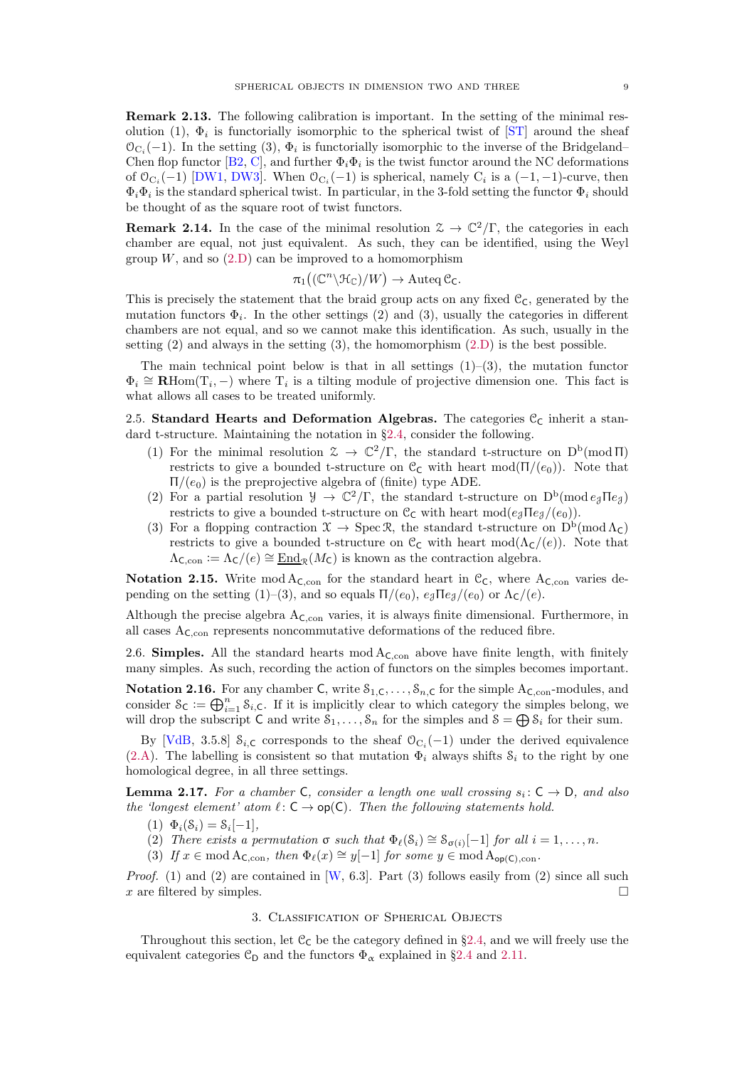<span id="page-8-6"></span><span id="page-8-2"></span>Remark 2.13. The following calibration is important. In the setting of the minimal resolution (1),  $\Phi_i$  is functorially isomorphic to the spherical twist of [\[ST\]](#page-24-0) around the sheaf  $\mathcal{O}_{C_i}(-1)$ . In the setting (3),  $\Phi_i$  is functorially isomorphic to the inverse of the Bridgeland– Chen flop functor [\[B2,](#page-23-12) [C\]](#page-23-13), and further  $\Phi_i \Phi_i$  is the twist functor around the NC deformations of  $\mathcal{O}_{C_i}(-1)$  [\[DW1,](#page-23-2) [DW3\]](#page-23-10). When  $\mathcal{O}_{C_i}(-1)$  is spherical, namely  $C_i$  is a  $(-1, -1)$ -curve, then  $\Phi_i \Phi_i$  is the standard spherical twist. In particular, in the 3-fold setting the functor  $\Phi_i$  should be thought of as the square root of twist functors.

**Remark 2.14.** In the case of the minimal resolution  $\mathcal{Z} \to \mathbb{C}^2/\Gamma$ , the categories in each chamber are equal, not just equivalent. As such, they can be identified, using the Weyl group  $W$ , and so  $(2.D)$  can be improved to a homomorphism

$$
\pi_1((\mathbb{C}^n \backslash \mathfrak{H}_\mathbb{C})/W) \to \operatorname{Auteq}\mathfrak{C}_\mathsf{C}.
$$

This is precisely the statement that the braid group acts on any fixed  $\mathfrak{C}_{\mathsf{C}}$ , generated by the mutation functors  $\Phi_i$ . In the other settings (2) and (3), usually the categories in different chambers are not equal, and so we cannot make this identification. As such, usually in the setting  $(2)$  and always in the setting  $(3)$ , the homomorphism  $(2,D)$  is the best possible.

The main technical point below is that in all settings  $(1)-(3)$ , the mutation functor  $\Phi_i \cong \mathbf{R}$ Hom $(T_i, -)$  where  $T_i$  is a tilting module of projective dimension one. This fact is what allows all cases to be treated uniformly.

<span id="page-8-1"></span>2.5. Standard Hearts and Deformation Algebras. The categories  $\mathcal{C}_{\mathcal{C}}$  inherit a standard t-structure. Maintaining the notation in §[2.4,](#page-6-0) consider the following.

- (1) For the minimal resolution  $\mathcal{Z} \to \mathbb{C}^2/\Gamma$ , the standard t-structure on  $D^b(\text{mod } \Pi)$ restricts to give a bounded t-structure on  $\mathcal{C}_{\mathsf{C}}$  with heart mod $(\Pi/(e_0))$ . Note that  $\Pi/(e_0)$  is the preprojective algebra of (finite) type ADE.
- (2) For a partial resolution  $\mathcal{Y} \to \mathbb{C}^2/\Gamma$ , the standard t-structure on  $D^b(\text{mod }e_{\mathcal{J}}\Pi_{\mathcal{C}})$ restricts to give a bounded t-structure on  $\mathfrak{C}_{\mathsf{C}}$  with heart mod $(e_{\mathcal{J}}\Pi e_{\mathcal{J}}/(e_{0}))$ .
- (3) For a flopping contraction  $\mathfrak{X} \to \text{Spec } \mathfrak{R}$ , the standard t-structure on  $D^b(\text{mod }\Lambda_{\mathsf{C}})$ restricts to give a bounded t-structure on  $\mathfrak{C}_{\mathsf{C}}$  with heart mod( $\Lambda_{\mathsf{C}}/(\mathfrak{e})$ ). Note that  $\Lambda_{\mathsf{C},\mathrm{con}} := \Lambda_{\mathsf{C}}/(\mathscr{e}) \cong \underline{\mathrm{End}}_{\mathcal{R}}(M_{\mathsf{C}})$  is known as the contraction algebra.

**Notation 2.15.** Write mod  $A_{\text{C,con}}$  for the standard heart in  $\mathcal{C}_{\text{C}}$ , where  $A_{\text{C,con}}$  varies depending on the setting (1)–(3), and so equals  $\Pi/(e_0)$ ,  $e_3 \Pi e_3/(e_0)$  or  $\Lambda_c/(e)$ .

Although the precise algebra  $A_{C,con}$  varies, it is always finite dimensional. Furthermore, in all cases  $A_{\text{C,con}}$  represents noncommutative deformations of the reduced fibre.

<span id="page-8-0"></span>2.6. Simples. All the standard hearts  $mod A_{\text{C,con}}$  above have finite length, with finitely many simples. As such, recording the action of functors on the simples becomes important.

**Notation 2.16.** For any chamber C, write  $S_{1,C}, \ldots, S_{n,C}$  for the simple  $A_{C,con}$ -modules, and consider  $S_{\mathsf{C}} := \bigoplus_{i=1}^n S_{i,\mathsf{C}}$ . If it is implicitly clear to which category the simples belong, we will drop the subscript C and write  $S_1, \ldots, S_n$  for the simples and  $S = \bigoplus S_i$  for their sum.

By [\[VdB,](#page-24-7) 3.5.8]  $S_{i,\text{C}}$  corresponds to the sheaf  $\mathcal{O}_{C_i}(-1)$  under the derived equivalence [\(2.A\)](#page-4-1). The labelling is consistent so that mutation  $\Phi_i$  always shifts  $S_i$  to the right by one homological degree, in all three settings.

<span id="page-8-4"></span>**Lemma 2.17.** For a chamber C, consider a length one wall crossing  $s_i: C \rightarrow D$ , and also the 'longest element' atom  $\ell: \mathsf{C} \to \mathsf{op}(\mathsf{C})$ . Then the following statements hold.

- (1)  $\Phi_i(\mathcal{S}_i) = \mathcal{S}_i[-1],$
- <span id="page-8-5"></span>(2) There exists a permutation  $\sigma$  such that  $\Phi_{\ell}(S_i) \cong S_{\sigma(i)}[-1]$  for all  $i = 1, \ldots, n$ .
- (3) If  $x \in \text{mod } A_{\mathsf{C},\text{con}}$ , then  $\Phi_{\ell}(x) \cong y[-1]$  for some  $y \in \text{mod } A_{\text{op}(\mathsf{C}),\text{con}}$ .

<span id="page-8-3"></span>*Proof.* (1) and (2) are contained in [\[W,](#page-24-6) 6.3]. Part (3) follows easily from (2) since all such x are filtered by simples.  $\Box$ 

## 3. Classification of Spherical Objects

Throughout this section, let  $\mathfrak{C}_{\mathsf{C}}$  be the category defined in §[2.4,](#page-6-0) and we will freely use the equivalent categories  $\mathcal{C}_{\mathsf{D}}$  and the functors  $\Phi_{\alpha}$  explained in §[2.4](#page-6-0) and [2.11.](#page-7-2)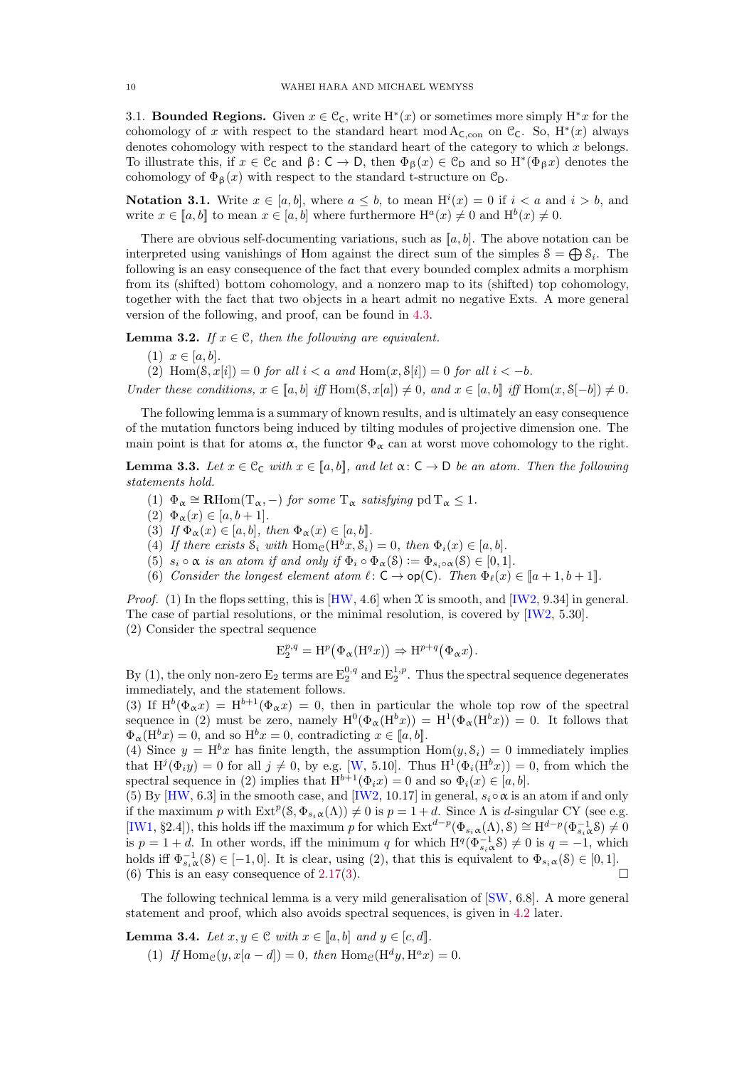<span id="page-9-10"></span><span id="page-9-9"></span>3.1. **Bounded Regions.** Given  $x \in \mathcal{C}_{\mathsf{C}}$ , write  $H^*(x)$  or sometimes more simply  $H^*x$  for the cohomology of x with respect to the standard heart mod  $A_{\mathsf{C},con}$  on  $\mathcal{C}_{\mathsf{C}}$ . So,  $H^*(x)$  always denotes cohomology with respect to the standard heart of the category to which x belongs. To illustrate this, if  $x \in \mathcal{C}_{\mathsf{C}}$  and  $\beta: \mathsf{C} \to \mathsf{D}$ , then  $\Phi_{\beta}(x) \in \mathcal{C}_{\mathsf{D}}$  and so  $H^*(\Phi_{\beta}x)$  denotes the cohomology of  $\Phi_{\beta}(x)$  with respect to the standard t-structure on  $\mathcal{C}_{\mathsf{D}}$ .

<span id="page-9-8"></span>**Notation 3.1.** Write  $x \in [a, b]$ , where  $a \leq b$ , to mean  $H^{i}(x) = 0$  if  $i < a$  and  $i > b$ , and write  $x \in [a, b]$  to mean  $x \in [a, b]$  where furthermore  $\mathrm{H}^a(x) \neq 0$  and  $\mathrm{H}^b(x) \neq 0$ .

There are obvious self-documenting variations, such as  $[a, b]$ . The above notation can be interpreted using vanishings of Hom against the direct sum of the simples  $S = \bigoplus S_i$ . The following is an easy consequence of the fact that every bounded complex admits a morphism from its (shifted) bottom cohomology, and a nonzero map to its (shifted) top cohomology, together with the fact that two objects in a heart admit no negative Exts. A more general version of the following, and proof, can be found in [4.3.](#page-13-0)

<span id="page-9-6"></span>**Lemma 3.2.** If  $x \in \mathcal{C}$ , then the following are equivalent.

- (1)  $x \in [a, b]$ .
- (2) Hom( $\mathcal{S}, x[i]$ ) = 0 for all  $i < a$  and Hom( $x, \mathcal{S}[i]$ ) = 0 for all  $i < -b$ .

Under these conditions,  $x \in [a, b]$  iff Hom $(\mathcal{S}, x[a]) \neq 0$ , and  $x \in [a, b]$  iff Hom $(x, \mathcal{S}[-b]) \neq 0$ .

The following lemma is a summary of known results, and is ultimately an easy consequence of the mutation functors being induced by tilting modules of projective dimension one. The main point is that for atoms  $\alpha$ , the functor  $\Phi_{\alpha}$  can at worst move cohomology to the right.

<span id="page-9-0"></span>**Lemma 3.3.** Let  $x \in \mathcal{C}_C$  with  $x \in [a, b]$ , and let  $\alpha: C \to D$  be an atom. Then the following statements hold.

- <span id="page-9-1"></span>(1)  $\Phi_{\alpha} \cong \mathbf{R} \text{Hom}(\mathrm{T}_{\alpha},-)$  for some  $\mathrm{T}_{\alpha}$  satisfying  $\mathrm{pd} \mathrm{T}_{\alpha} \leq 1$ .
- <span id="page-9-3"></span> $(2) \Phi_{\alpha}(x) \in [a, b+1].$
- <span id="page-9-5"></span>(3) If  $\Phi_{\alpha}(x) \in [a, b]$ , then  $\Phi_{\alpha}(x) \in [a, b]$ .
- <span id="page-9-7"></span>(4) If there exists  $S_i$  with  $\text{Hom}_{\mathcal{C}}(H^b x, S_i) = 0$ , then  $\Phi_i(x) \in [a, b]$ .
- <span id="page-9-2"></span>(5)  $s_i \circ \alpha$  is an atom if and only if  $\Phi_i \circ \Phi_\alpha(\mathcal{S}) := \Phi_{s_i \circ \alpha}(\mathcal{S}) \in [0,1].$
- (6) Consider the longest element atom  $\ell: \mathsf{C} \to \mathsf{op}(\mathsf{C})$ . Then  $\Phi_{\ell}(x) \in [a+1, b+1]$ .

*Proof.* (1) In the flops setting, this is [\[HW,](#page-23-14) 4.6] when  $\mathfrak X$  is smooth, and [\[IW2,](#page-24-4) 9.34] in general. The case of partial resolutions, or the minimal resolution, is covered by [\[IW2,](#page-24-4) 5.30]. (2) Consider the spectral sequence

$$
E_2^{p,q} = H^p(\Phi_\alpha(H^q x)) \Rightarrow H^{p+q}(\Phi_\alpha x).
$$

By (1), the only non-zero  $E_2$  terms are  $E_2^{0,q}$  and  $E_2^{1,p}$ . Thus the spectral sequence degenerates immediately, and the statement follows.

(3) If  $H^b(\Phi_{\alpha} x) = H^{b+1}(\Phi_{\alpha} x) = 0$ , then in particular the whole top row of the spectral sequence in (2) must be zero, namely  $H^0(\Phi_\alpha(H^b x)) = H^1(\Phi_\alpha(H^b x)) = 0$ . It follows that  $\Phi_{\alpha}(\mathbf{H}^{b}x)=0$ , and so  $\mathbf{H}^{b}x=0$ , contradicting  $x \in [a, b]$ .

(4) Since  $y = H^b x$  has finite length, the assumption  $Hom(y, \mathcal{S}_i) = 0$  immediately implies that  $H^{j}(\Phi_{i}y) = 0$  for all  $j \neq 0$ , by e.g. [\[W,](#page-24-6) 5.10]. Thus  $H^{1}(\Phi_{i}(H^{b}x)) = 0$ , from which the spectral sequence in (2) implies that  $H^{b+1}(\Phi_i x) = 0$  and so  $\Phi_i(x) \in [a, b]$ .

(5) By [\[HW,](#page-23-14) 6.3] in the smooth case, and [\[IW2,](#page-24-4) 10.17] in general,  $s_i \circ \alpha$  is an atom if and only if the maximum p with  $\text{Ext}^p(\mathcal{S}, \Phi_{s_i \alpha}(\Lambda)) \neq 0$  is  $p = 1 + d$ . Since  $\Lambda$  is d-singular CY (see e.g. [\[IW1,](#page-24-10) §2.4]), this holds iff the maximum p for which  $\text{Ext}^{d-p}(\Phi_{s_i\alpha}(\Lambda), \mathcal{S}) \cong \text{H}^{d-p}(\Phi_{s_i\alpha}^{-1}\mathcal{S}) \neq 0$ is  $p = 1 + d$ . In other words, iff the minimum q for which  $H^q(\Phi_{s_i}^{-1} \mathcal{S}) \neq 0$  is  $q = -1$ , which holds iff  $\Phi_{s_i\alpha}^{-1}(\mathcal{S}) \in [-1,0]$ . It is clear, using (2), that this is equivalent to  $\Phi_{s_i\alpha}(\mathcal{S}) \in [0,1]$ . (6) This is an easy consequence of [2.17\(](#page-8-4)[3\)](#page-8-5).

The following technical lemma is a very mild generalisation of [\[SW,](#page-24-3) 6.8]. A more general statement and proof, which also avoids spectral sequences, is given in [4.2](#page-13-1) later.

<span id="page-9-4"></span>**Lemma 3.4.** Let  $x, y \in \mathcal{C}$  with  $x \in [a, b]$  and  $y \in [c, d]$ .

(1) If  $\text{Hom}_{\mathcal{C}}(y, x[a-d]) = 0$ , then  $\text{Hom}_{\mathcal{C}}(\text{H}^d y, \text{H}^a x) = 0$ .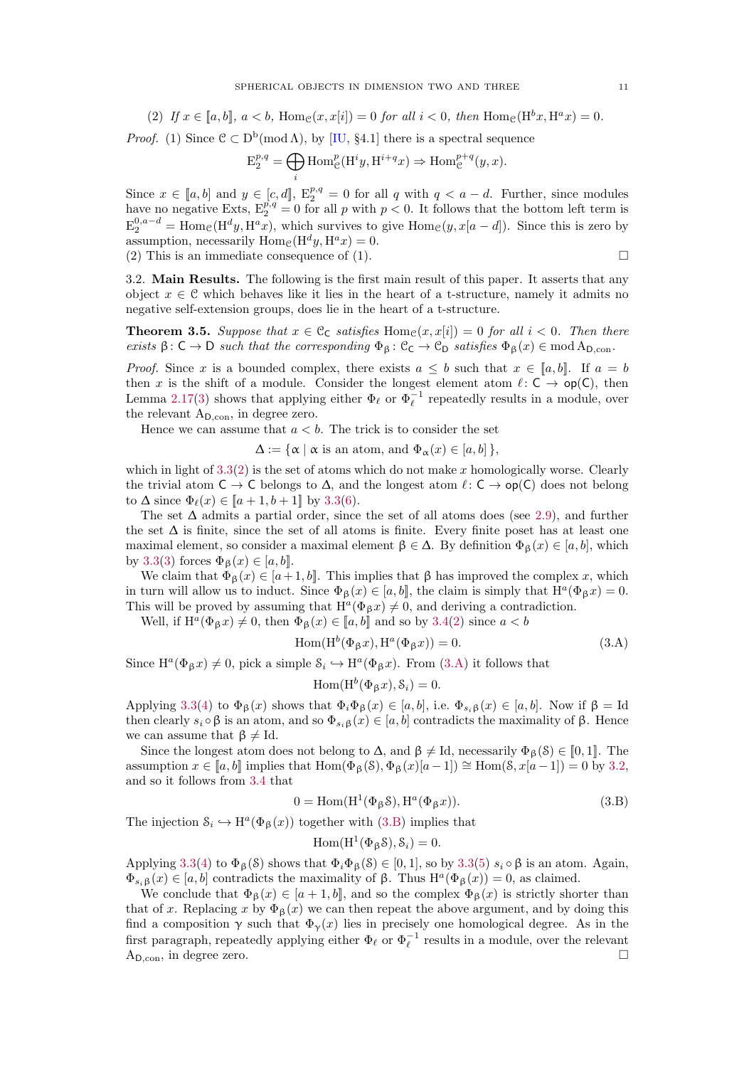<span id="page-10-4"></span><span id="page-10-1"></span>(2) If 
$$
x \in [a, b]
$$
,  $a < b$ ,  $Hom_{\mathcal{C}}(x, x[i]) = 0$  for all  $i < 0$ , then  $Hom_{\mathcal{C}}(H^b x, H^a x) = 0$ .

*Proof.* (1) Since  $C \subset D^b(\text{mod }\Lambda)$ , by [\[IU,](#page-24-1) §4.1] there is a spectral sequence

$$
E_2^{p,q} = \bigoplus_i \text{Hom}_{\mathcal{C}}^p(\text{H}^i y, \text{H}^{i+q} x) \Rightarrow \text{Hom}_{\mathcal{C}}^{p+q}(y, x).
$$

Since  $x \in [a, b]$  and  $y \in [c, d]$ ,  $E_2^{p,q} = 0$  for all q with  $q < a - d$ . Further, since modules have no negative Exts,  $E_2^{p,q} = 0$  for all p with  $p < 0$ . It follows that the bottom left term is  $E_2^{0,a-d} = \text{Hom}_{\mathcal{C}}(\text{H}^d y, \text{H}^a x)$ , which survives to give  $\text{Hom}_{\mathcal{C}}(y, x[a-d])$ . Since this is zero by assumption, necessarily  $\text{Hom}_{\mathcal{C}}(\text{H}^d y, \text{H}^a x) = 0.$ (2) This is an immediate consequence of (1).  $\square$ 

3.2. Main Results. The following is the first main result of this paper. It asserts that any object  $x \in \mathcal{C}$  which behaves like it lies in the heart of a t-structure, namely it admits no negative self-extension groups, does lie in the heart of a t-structure.

<span id="page-10-0"></span>**Theorem 3.5.** Suppose that  $x \in \mathcal{C}_{\mathsf{C}}$  satisfies  $\text{Hom}_{\mathcal{C}}(x, x[i]) = 0$  for all  $i < 0$ . Then there exists  $\beta: C \to D$  such that the corresponding  $\Phi_{\beta}: C_{C} \to C_{D}$  satisfies  $\Phi_{\beta}(x) \in \text{mod } A_{D,\text{con}}$ .

*Proof.* Since x is a bounded complex, there exists  $a \leq b$  such that  $x \in [a, b]$ . If  $a = b$ then x is the shift of a module. Consider the longest element atom  $\ell: \mathsf{C} \to \mathsf{op}(\mathsf{C})$ , then Lemma [2.17\(](#page-8-4)[3\)](#page-8-5) shows that applying either  $\Phi_{\ell}$  or  $\Phi_{\ell}^{-1}$  repeatedly results in a module, over the relevant  $A_{D,\text{con}}$ , in degree zero.

Hence we can assume that  $a < b$ . The trick is to consider the set

 $\Delta := {\alpha | \alpha$  is an atom, and  $\Phi_{\alpha}(x) \in [a, b]$ ,

which in light of  $3.3(2)$  $3.3(2)$  is the set of atoms which do not make x homologically worse. Clearly the trivial atom  $C \to C$  belongs to  $\Delta$ , and the longest atom  $\ell: C \to op(C)$  does not belong to  $\Delta$  since  $\Phi_{\ell}(x) \in [a+1, b+1]$  by [3.3\(](#page-9-0)[6\)](#page-9-2).

The set  $\Delta$  admits a partial order, since the set of all atoms does (see [2.9\)](#page-6-2), and further the set  $\Delta$  is finite, since the set of all atoms is finite. Every finite poset has at least one maximal element, so consider a maximal element  $\beta \in \Delta$ . By definition  $\Phi_{\beta}(x) \in [a, b]$ , which by [3.3\(](#page-9-0)[3\)](#page-9-3) forces  $\Phi_{\beta}(x) \in [a, b]$ .

We claim that  $\Phi_{\beta}(x) \in [a+1, b]$ . This implies that  $\beta$  has improved the complex x, which in turn will allow us to induct. Since  $\Phi_{\beta}(x) \in [a, b]$ , the claim is simply that  $H^a(\Phi_{\beta} x) = 0$ . This will be proved by assuming that  $\text{H}^a(\Phi_{\beta} x) \neq 0$ , and deriving a contradiction.

Well, if  $H^a(\Phi_{\beta} x) \neq 0$ , then  $\Phi_{\beta}(x) \in [a, b]$  and so by [3.4\(](#page-9-4)[2\)](#page-10-1) since  $a < b$ 

<span id="page-10-2"></span>
$$
Hom(H^{b}(\Phi_{\beta} x), H^{a}(\Phi_{\beta} x)) = 0.
$$
\n(3.A)

Since  $H^a(\Phi_\beta x) \neq 0$ , pick a simple  $\mathcal{S}_i \hookrightarrow H^a(\Phi_\beta x)$ . From  $(3.A)$  it follows that

$$
\operatorname{Hom}(\operatorname{H}^{b}(\Phi_{\beta} x), \mathcal{S}_{i}) = 0.
$$

Applying [3.3](#page-9-0)[\(4\)](#page-9-5) to  $\Phi_{\beta}(x)$  shows that  $\Phi_i \Phi_{\beta}(x) \in [a, b]$ , i.e.  $\Phi_{s_i \beta}(x) \in [a, b]$ . Now if  $\beta = \text{Id}$ then clearly  $s_i \circ \beta$  is an atom, and so  $\Phi_{s_i\beta}(x) \in [a, b]$  contradicts the maximality of  $\beta$ . Hence we can assume that  $\beta \neq \text{Id}$ .

Since the longest atom does not belong to  $\Delta$ , and  $\beta \neq Id$ , necessarily  $\Phi_{\beta}(\beta) \in [0, 1]$ . The assumption  $x \in [a, b]$  implies that  $\text{Hom}(\Phi_B(\mathcal{S}), \Phi_B(x)[a-1]) \cong \text{Hom}(\mathcal{S}, x[a-1]) = 0$  by [3.2,](#page-9-6) and so it follows from [3.4](#page-9-4) that

<span id="page-10-3"></span>
$$
0 = \text{Hom}(\text{H}^1(\Phi_{\beta} \mathcal{S}), \text{H}^a(\Phi_{\beta} x)).
$$
\n(3.8)

The injection  $\mathcal{S}_i \hookrightarrow \mathrm{H}^a(\Phi_\beta(x))$  together with [\(3.B\)](#page-10-3) implies that

$$
Hom(H^1(\Phi_{\beta}S), S_i) = 0.
$$

Applying [3.3\(](#page-9-0)[4\)](#page-9-5) to  $\Phi_{\beta}(\mathcal{S})$  shows that  $\Phi_i\Phi_{\beta}(\mathcal{S}) \in [0,1]$ , so by 3.3([5\)](#page-9-7)  $s_i \circ \beta$  is an atom. Again,  $\Phi_{s_i\beta}(x) \in [a, b]$  contradicts the maximality of  $\beta$ . Thus  $H^a(\Phi_{\beta}(x)) = 0$ , as claimed.

We conclude that  $\Phi_{\beta}(x) \in [a+1,b]$ , and so the complex  $\Phi_{\beta}(x)$  is strictly shorter than that of x. Replacing x by  $\Phi_6(x)$  we can then repeat the above argument, and by doing this find a composition  $\gamma$  such that  $\Phi_{\gamma}(x)$  lies in precisely one homological degree. As in the first paragraph, repeatedly applying either  $\Phi_{\ell}$  or  $\Phi_{\ell}^{-1}$  results in a module, over the relevant  $A_{D,\text{con}}$ , in degree zero.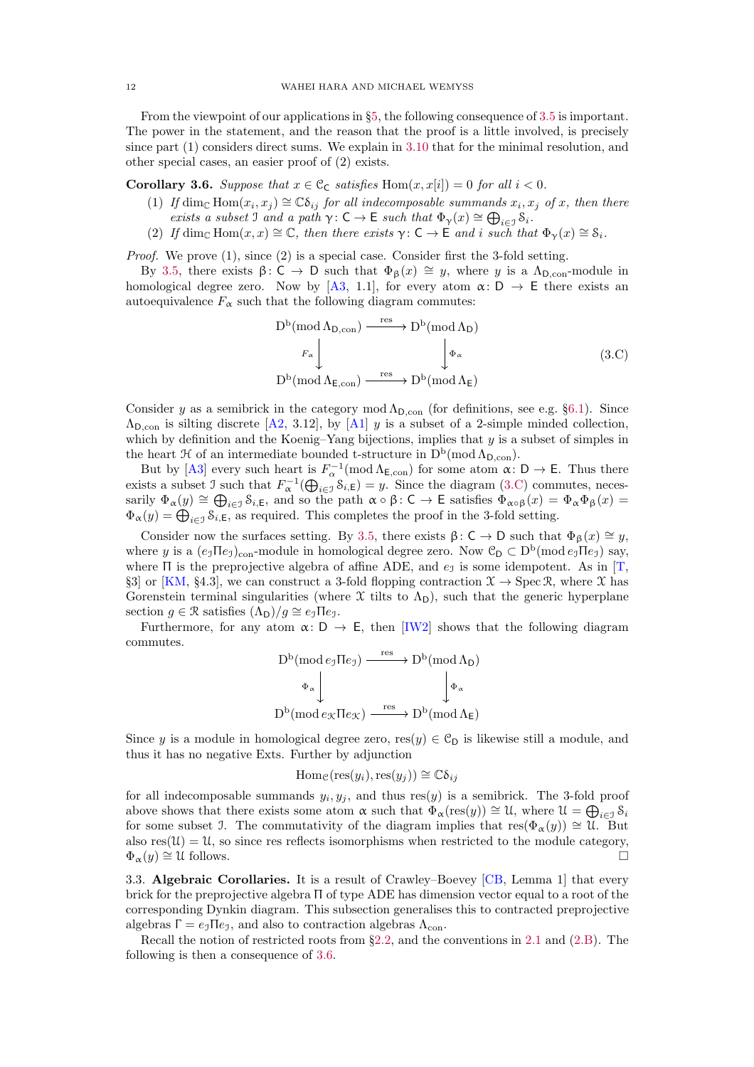<span id="page-11-4"></span>From the viewpoint of our applications in §[5,](#page-15-0) the following consequence of [3.5](#page-10-0) is important. The power in the statement, and the reason that the proof is a little involved, is precisely since part (1) considers direct sums. We explain in [3.10](#page-12-2) that for the minimal resolution, and other special cases, an easier proof of (2) exists.

<span id="page-11-3"></span><span id="page-11-0"></span>**Corollary 3.6.** Suppose that  $x \in \mathcal{C}_{\mathsf{C}}$  satisfies  $\text{Hom}(x, x[i]) = 0$  for all  $i < 0$ .

- (1) If  $\dim_{\mathbb{C}} \text{Hom}(x_i, x_j) \cong \mathbb{C}\delta_{ij}$  for all indecomposable summands  $x_i, x_j$  of x, then there exists a subset J and a path  $\gamma: C \to E$  such that  $\Phi_{\gamma}(x) \cong \bigoplus_{i \in \mathcal{I}} S_i$ .
- <span id="page-11-2"></span>(2) If dim<sub>C</sub> Hom $(x, x) \cong \mathbb{C}$ , then there exists  $\gamma : \mathsf{C} \to \mathsf{E}$  and i such that  $\Phi_{\gamma}(x) \cong \mathsf{S}_i$ .

*Proof.* We prove  $(1)$ , since  $(2)$  is a special case. Consider first the 3-fold setting.

By [3.5,](#page-10-0) there exists  $\beta: C \to D$  such that  $\Phi_{\beta}(x) \cong y$ , where y is a Λ<sub>D,con</sub>-module in homological degree zero. Now by [\[A3,](#page-23-15) 1.1], for every atom  $\alpha: D \to E$  there exists an autoequivalence  $F_{\alpha}$  such that the following diagram commutes:

<span id="page-11-1"></span>
$$
D^{b}(\operatorname{mod}\Lambda_{D,\operatorname{con}}) \xrightarrow{\operatorname{res}} D^{b}(\operatorname{mod}\Lambda_{D})
$$
  
 $F_{\alpha} \downarrow \qquad \qquad \downarrow \Phi_{\alpha}$   

$$
D^{b}(\operatorname{mod}\Lambda_{E,\operatorname{con}}) \xrightarrow{\operatorname{res}} D^{b}(\operatorname{mod}\Lambda_{E})
$$
  

$$
(3.C)
$$

Consider y as a semibrick in the category mod  $\Lambda_{D,con}$  (for definitions, see e.g. §[6.1\)](#page-18-2). Since  $\Lambda_{\text{D,con}}$  is silting discrete [\[A2,](#page-23-16) 3.12], by [\[A1\]](#page-23-17) y is a subset of a 2-simple minded collection, which by definition and the Koenig–Yang bijections, implies that  $y$  is a subset of simples in the heart  $\mathfrak{H}$  of an intermediate bounded t-structure in  $D^b(\text{mod }\Lambda_{D,\text{con}})$ .

But by [\[A3\]](#page-23-15) every such heart is  $F_{\alpha}^{-1}(\text{mod }\Lambda_{\mathsf{E},\text{con}})$  for some atom  $\alpha: \mathsf{D} \to \mathsf{E}$ . Thus there exists a subset J such that  $F_{\alpha}^{-1}(\bigoplus_{i\in\mathcal{I}} \mathcal{S}_{i,\mathsf{E}}) = y$ . Since the diagram [\(3.C\)](#page-11-1) commutes, necessarily  $\Phi_{\alpha}(y) \cong \bigoplus_{i \in \mathcal{I}} \mathcal{S}_{i,\mathsf{E}}$ , and so the path  $\alpha \circ \beta : \mathsf{C} \to \mathsf{E}$  satisfies  $\Phi_{\alpha \circ \beta}(x) = \Phi_{\alpha} \Phi_{\beta}(x) =$  $\Phi_{\alpha}(y) = \bigoplus_{i \in \mathcal{I}} \mathcal{S}_{i,\mathsf{E}}$ , as required. This completes the proof in the 3-fold setting.

Consider now the surfaces setting. By [3.5,](#page-10-0) there exists  $\beta: C \to D$  such that  $\Phi_{\beta}(x) \cong y$ , where y is a  $(e_j \Pi e_j)_{\text{con}}$ -module in homological degree zero. Now  $\mathcal{C}_D \subset D^b(\text{mod }e_j \Pi e_j)$  say, where  $\Pi$  is the preprojective algebra of affine ADE, and  $e_{\mathcal{I}}$  is some idempotent. As in [\[T,](#page-24-5) §3] or [\[KM,](#page-24-13) §4.3], we can construct a 3-fold flopping contraction  $\mathfrak{X} \to \text{Spec } \mathfrak{R}$ , where  $\mathfrak{X}$  has Gorenstein terminal singularities (where  $\mathfrak X$  tilts to  $\Lambda_D$ ), such that the generic hyperplane section  $q \in \mathcal{R}$  satisfies  $(\Lambda_D)/q \cong e_{\mathcal{I}} \Pi e_{\mathcal{I}}$ .

Furthermore, for any atom  $\alpha: D \to E$ , then [\[IW2\]](#page-24-4) shows that the following diagram commutes.

$$
D^b(\text{mod }e_{\mathcal{I}}\Pi e_{\mathcal{I}}) \xrightarrow{\text{res}} D^b(\text{mod }\Lambda_D)
$$
  
\n
$$
\Phi_{\alpha} \downarrow \qquad \qquad \downarrow \Phi_{\alpha}
$$
  
\n
$$
D^b(\text{mod }e_{\mathcal{K}}\Pi e_{\mathcal{K}}) \xrightarrow{\text{res}} D^b(\text{mod }\Lambda_E)
$$

Since y is a module in homological degree zero, res $(y) \in C_D$  is likewise still a module, and thus it has no negative Exts. Further by adjunction

$$
\operatorname{Hom}_{\mathcal{C}}(\operatorname{res}(y_i), \operatorname{res}(y_j)) \cong \mathbb{C}\delta_{ij}
$$

for all indecomposable summands  $y_i, y_j$ , and thus res $(y)$  is a semibrick. The 3-fold proof above shows that there exists some atom  $\alpha$  such that  $\Phi_{\alpha}(\text{res}(y)) \cong \mathcal{U}$ , where  $\mathcal{U} = \bigoplus_{i \in \mathcal{I}} \mathcal{S}_i$ for some subset J. The commutativity of the diagram implies that  $res(\Phi_{\alpha}(y)) \cong \mathfrak{U}$ . But also  $res(\mathcal{U}) = \mathcal{U}$ , so since res reflects isomorphisms when restricted to the module category,  $\Phi_{\alpha}(y) \cong \mathfrak{U}$  follows.

3.3. Algebraic Corollaries. It is a result of Crawley–Boevey [\[CB,](#page-23-4) Lemma 1] that every brick for the preprojective algebra Π of type ADE has dimension vector equal to a root of the corresponding Dynkin diagram. This subsection generalises this to contracted preprojective algebras  $\Gamma = e_{\mathcal{I}} \Pi e_{\mathcal{I}}$ , and also to contraction algebras  $\Lambda_{\text{con}}$ .

Recall the notion of restricted roots from §[2.2,](#page-4-0) and the conventions in [2.1](#page-4-3) and [\(2.B\)](#page-6-3). The following is then a consequence of [3.6.](#page-11-0)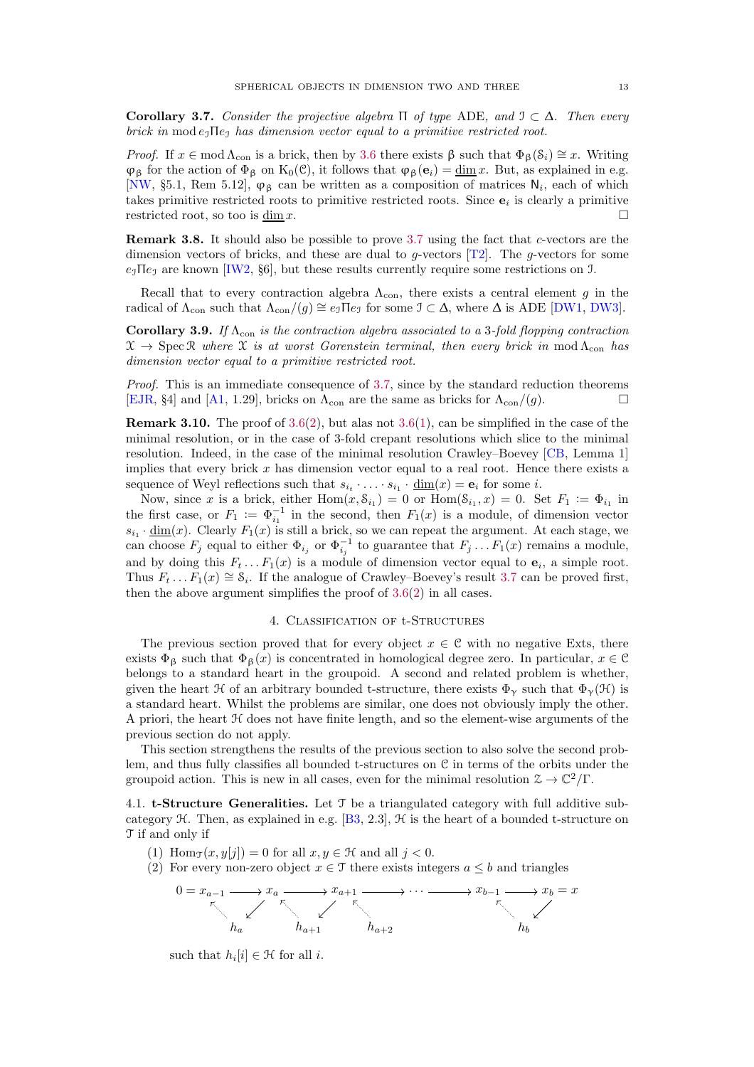<span id="page-12-6"></span><span id="page-12-0"></span>Corollary 3.7. Consider the projective algebra  $\Pi$  of type ADE, and  $\mathcal{I} \subset \Delta$ . Then every brick in mod  $e_3$ He<sub>1</sub> has dimension vector equal to a primitive restricted root.

Proof. If  $x \in \text{mod } \Lambda_{\text{con}}$  is a brick, then by [3.6](#page-11-0) there exists  $\beta$  such that  $\Phi_{\beta}(S_i) \cong x$ . Writing  $\varphi_{\beta}$  for the action of  $\Phi_{\beta}$  on K<sub>0</sub>(C), it follows that  $\varphi_{\beta}(e_i) = \underline{\dim} x$ . But, as explained in e.g. [\[NW,](#page-24-14) §5.1, Rem 5.12],  $\varphi_{\beta}$  can be written as a composition of matrices N<sub>i</sub>, each of which takes primitive restricted roots to primitive restricted roots. Since  $e_i$  is clearly a primitive restricted root, so too is  $\underline{\dim} x$ .

Remark 3.8. It should also be possible to prove [3.7](#page-12-0) using the fact that c-vectors are the dimension vectors of bricks, and these are dual to g-vectors  $[T2]$ . The g-vectors for some  $e_1\Pi e_1$  are known [\[IW2,](#page-24-4) §6], but these results currently require some restrictions on J.

Recall that to every contraction algebra  $\Lambda_{con}$ , there exists a central element g in the radical of  $\Lambda_{con}$  such that  $\Lambda_{con}/(g) \cong e_J \Pi e_J$  for some  $\mathcal{I} \subset \Delta$ , where  $\Delta$  is ADE [\[DW1,](#page-23-2) [DW3\]](#page-23-10).

<span id="page-12-1"></span>**Corollary 3.9.** If  $\Lambda_{con}$  is the contraction algebra associated to a 3-fold flopping contraction  $\mathfrak{X} \to \mathrm{Spec} \, \mathfrak{X}$  where  $\mathfrak{X}$  is at worst Gorenstein terminal, then every brick in mod  $\Lambda_{\mathrm{con}}$  has dimension vector equal to a primitive restricted root.

Proof. This is an immediate consequence of [3.7,](#page-12-0) since by the standard reduction theorems [\[EJR,](#page-23-18) §4] and [\[A1,](#page-23-17) 1.29], bricks on  $\Lambda_{\text{con}}$  are the same as bricks for  $\Lambda_{\text{con}}/(g)$ .

<span id="page-12-2"></span>**Remark 3.10.** The proof of  $3.6(2)$  $3.6(2)$ , but alas not  $3.6(1)$  $3.6(1)$ , can be simplified in the case of the minimal resolution, or in the case of 3-fold crepant resolutions which slice to the minimal resolution. Indeed, in the case of the minimal resolution Crawley–Boevey [\[CB,](#page-23-4) Lemma 1] implies that every brick  $x$  has dimension vector equal to a real root. Hence there exists a sequence of Weyl reflections such that  $s_{i_1} \cdot \ldots \cdot s_{i_1} \cdot \underline{\dim}(x) = \mathbf{e}_i$  for some *i*.

Now, since x is a brick, either  $Hom(x, S_{i_1}) = 0$  or  $Hom(S_{i_1}, x) = 0$ . Set  $F_1 := \Phi_{i_1}$  in the first case, or  $F_1 := \Phi_{i_1}^{-1}$  in the second, then  $F_1(x)$  is a module, of dimension vector  $s_{i_1} \cdot \underline{\dim}(x)$ . Clearly  $F_1(x)$  is still a brick, so we can repeat the argument. At each stage, we can choose  $F_j$  equal to either  $\Phi_{i_j}$  or  $\Phi_{i_j}^{-1}$  to guarantee that  $F_j \dots F_1(x)$  remains a module, and by doing this  $F_t \dots F_1(x)$  is a module of dimension vector equal to  $e_i$ , a simple root. Thus  $F_t \dots F_1(x) \cong \mathcal{S}_i$ . If the analogue of Crawley–Boevey's result [3.7](#page-12-0) can be proved first, then the above argument simplifies the proof of [3.6](#page-11-0)[\(2\)](#page-11-2) in all cases.

#### 4. Classification of t-Structures

<span id="page-12-5"></span>The previous section proved that for every object  $x \in \mathcal{C}$  with no negative Exts, there exists  $\Phi_{\beta}$  such that  $\Phi_{\beta}(x)$  is concentrated in homological degree zero. In particular,  $x \in \mathcal{C}$ belongs to a standard heart in the groupoid. A second and related problem is whether, given the heart  $\mathcal H$  of an arbitrary bounded t-structure, there exists  $\Phi_{\gamma}$  such that  $\Phi_{\gamma}(\mathcal H)$  is a standard heart. Whilst the problems are similar, one does not obviously imply the other. A priori, the heart H does not have finite length, and so the element-wise arguments of the previous section do not apply.

This section strengthens the results of the previous section to also solve the second problem, and thus fully classifies all bounded t-structures on  $C$  in terms of the orbits under the groupoid action. This is new in all cases, even for the minimal resolution  $\mathcal{Z} \to \mathbb{C}^2/\Gamma$ .

4.1. **t-Structure Generalities.** Let  $\mathcal{T}$  be a triangulated category with full additive subcategory  $H$ . Then, as explained in e.g. [\[B3,](#page-23-19) 2.3],  $H$  is the heart of a bounded t-structure on T if and only if

- <span id="page-12-4"></span><span id="page-12-3"></span>(1) Hom $\tau(x, y[j]) = 0$  for all  $x, y \in \mathcal{H}$  and all  $j < 0$ .
- (2) For every non-zero object  $x \in \mathcal{T}$  there exists integers  $a \leq b$  and triangles



such that  $h_i[i] \in \mathcal{H}$  for all *i*.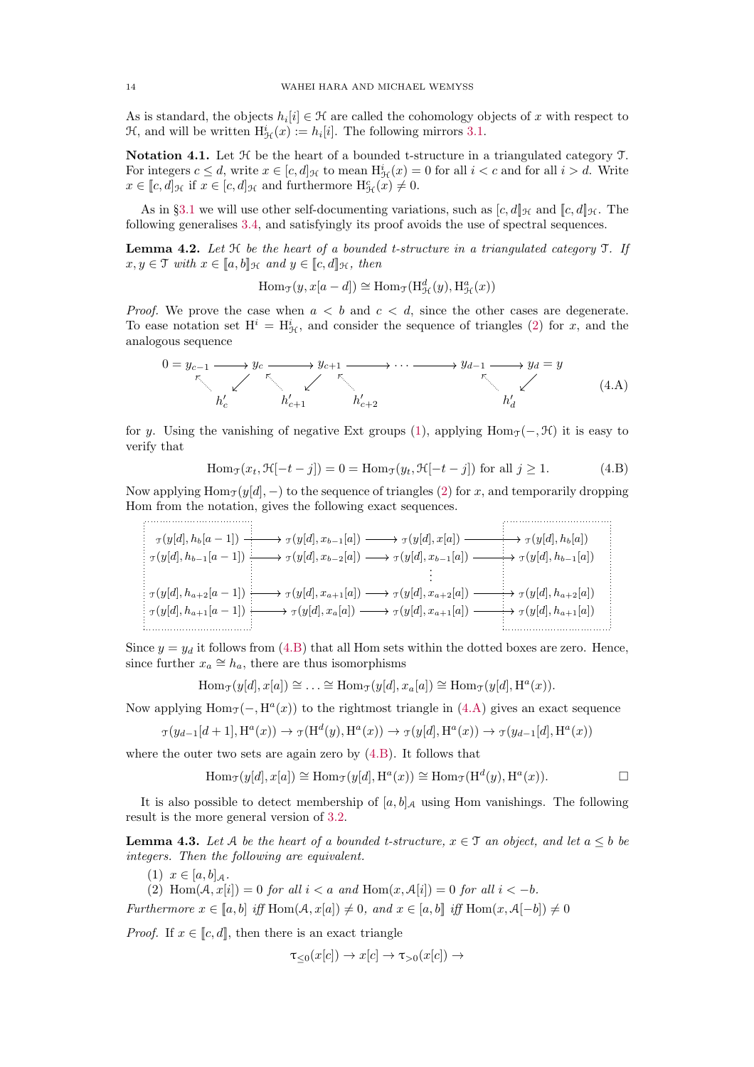As is standard, the objects  $h_i[i] \in \mathcal{H}$  are called the cohomology objects of x with respect to  $\mathcal{H}$ , and will be written  $H^i_{\mathcal{H}}(x) := h_i[i]$ . The following mirrors [3.1.](#page-9-8)

<span id="page-13-4"></span>Notation 4.1. Let  $H$  be the heart of a bounded t-structure in a triangulated category  $T$ . For integers  $c \leq d$ , write  $x \in [c, d]_{\mathcal{H}}$  to mean  $H^i_{\mathcal{H}}(x) = 0$  for all  $i < c$  and for all  $i > d$ . Write  $x \in [c, d]_{\mathcal{H}}$  if  $x \in [c, d]_{\mathcal{H}}$  and furthermore  $H^c_{\mathcal{H}}(x) \neq 0$ .

As in §[3.1](#page-9-9) we will use other self-documenting variations, such as  $[c, d]_{\mathcal{H}}$  and  $[[c, d]]_{\mathcal{H}}$ . The following generalises [3.4,](#page-9-4) and satisfyingly its proof avoids the use of spectral sequences.

<span id="page-13-1"></span>**Lemma 4.2.** Let  $H$  be the heart of a bounded t-structure in a triangulated category  $T$ . If  $x, y \in \mathcal{T}$  with  $x \in [a, b]$ <sub>H</sub> and  $y \in [c, d]$ <sub>H</sub>, then

 $\text{Hom}_{\mathcal{T}}(y, x[a-d]) \cong \text{Hom}_{\mathcal{T}}(\text{H}^d_{\mathcal{H}}(y), \text{H}^a_{\mathcal{H}}(x))$ 

*Proof.* We prove the case when  $a < b$  and  $c < d$ , since the other cases are degenerate. To ease notation set  $H^i = H^i_{\mathcal{H}}$ , and consider the sequence of triangles [\(2\)](#page-12-3) for x, and the analogous sequence

<span id="page-13-3"></span>
$$
0 = y_{c-1} \longrightarrow y_c \longrightarrow y_{c+1} \longrightarrow \cdots \longrightarrow y_{d-1} \longrightarrow y_d = y
$$
  
\n
$$
h'_{c} \longrightarrow h'_{c+1} \longrightarrow h'_{c+2} \longrightarrow y_d \longrightarrow y_d
$$
 (4.A)

for y. Using the vanishing of negative Ext groups [\(1\)](#page-12-4), applying Hom<sub>T</sub>(−,  $\mathcal{H}$ ) it is easy to verify that

<span id="page-13-2"></span>
$$
\text{Hom}_{\mathcal{T}}(x_t, \mathcal{H}[-t-j]) = 0 = \text{Hom}_{\mathcal{T}}(y_t, \mathcal{H}[-t-j]) \text{ for all } j \ge 1. \tag{4.B}
$$

Now applying  $\text{Hom}_{\mathcal{T}}(y[d], -)$  to the sequence of triangles [\(2\)](#page-12-3) for x, and temporarily dropping Hom from the notation, gives the following exact sequences.

$$
\tau(y[d], h_{b}[a-1]) \longrightarrow \tau(y[d], x_{b-1}[a]) \longrightarrow \tau(y[d], x[a]) \longrightarrow \tau(y[d], h_{b}[a])
$$
\n
$$
\tau(y[d], h_{b-1}[a-1]) \longrightarrow \tau(y[d], x_{b-2}[a]) \longrightarrow \tau(y[d], x_{b-1}[a]) \longrightarrow \tau(y[d], h_{b-1}[a])
$$
\n
$$
\vdots
$$
\n
$$
\tau(y[d], h_{a+2}[a-1]) \longrightarrow \tau(y[d], x_{a+1}[a]) \longrightarrow \tau(y[d], x_{a+2}[a]) \longrightarrow \tau(y[d], h_{a+2}[a])
$$
\n
$$
\vdots
$$
\n
$$
\tau(y[d], h_{a+1}[a-1]) \longrightarrow \tau(y[d], x_{a}[a]) \longrightarrow \tau(y[d], x_{a+1}[a]) \longrightarrow \tau(y[d], h_{a+1}[a])
$$

Since  $y = y_d$  it follows from [\(4.B\)](#page-13-2) that all Hom sets within the dotted boxes are zero. Hence, since further  $x_a \cong h_a$ , there are thus isomorphisms

 $\text{Hom}_{\mathcal{T}}(y[d], x[a]) \cong \ldots \cong \text{Hom}_{\mathcal{T}}(y[d], x_a[a]) \cong \text{Hom}_{\mathcal{T}}(y[d], \text{H}^a(x)).$ 

Now applying  $\text{Hom}_{\mathcal{T}}(-, \text{H}^a(x))$  to the rightmost triangle in [\(4.A\)](#page-13-3) gives an exact sequence

$$
\tau(y_{d-1}[d+1], \mathrm{H}^a(x)) \to \tau(\mathrm{H}^d(y), \mathrm{H}^a(x)) \to \tau(y[d], \mathrm{H}^a(x)) \to \tau(y_{d-1}[d], \mathrm{H}^a(x))
$$

where the outer two sets are again zero by [\(4.B\)](#page-13-2). It follows that

$$
\text{Hom}_{\mathcal{T}}(y[d], x[a]) \cong \text{Hom}_{\mathcal{T}}(y[d], \text{H}^{a}(x)) \cong \text{Hom}_{\mathcal{T}}(\text{H}^{d}(y), \text{H}^{a}(x)). \qquad \Box
$$

It is also possible to detect membership of  $[a, b]_A$  using Hom vanishings. The following result is the more general version of [3.2.](#page-9-6)

<span id="page-13-0"></span>**Lemma 4.3.** Let A be the heart of a bounded t-structure,  $x \in \mathcal{T}$  an object, and let  $a \leq b$  be integers. Then the following are equivalent.

(1)  $x \in [a, b]_A$ .

(2) Hom $(A, x[i]) = 0$  for all  $i < a$  and  $Hom(x, A[i]) = 0$  for all  $i < -b$ .

Furthermore  $x \in [a, b]$  iff Hom $(A, x[a]) \neq 0$ , and  $x \in [a, b]$  iff Hom $(x, A[-b]) \neq 0$ 

*Proof.* If  $x \in [c, d]$ , then there is an exact triangle

$$
\tau_{\leq 0}(x[c]) \to x[c] \to \tau_{>0}(x[c]) \to
$$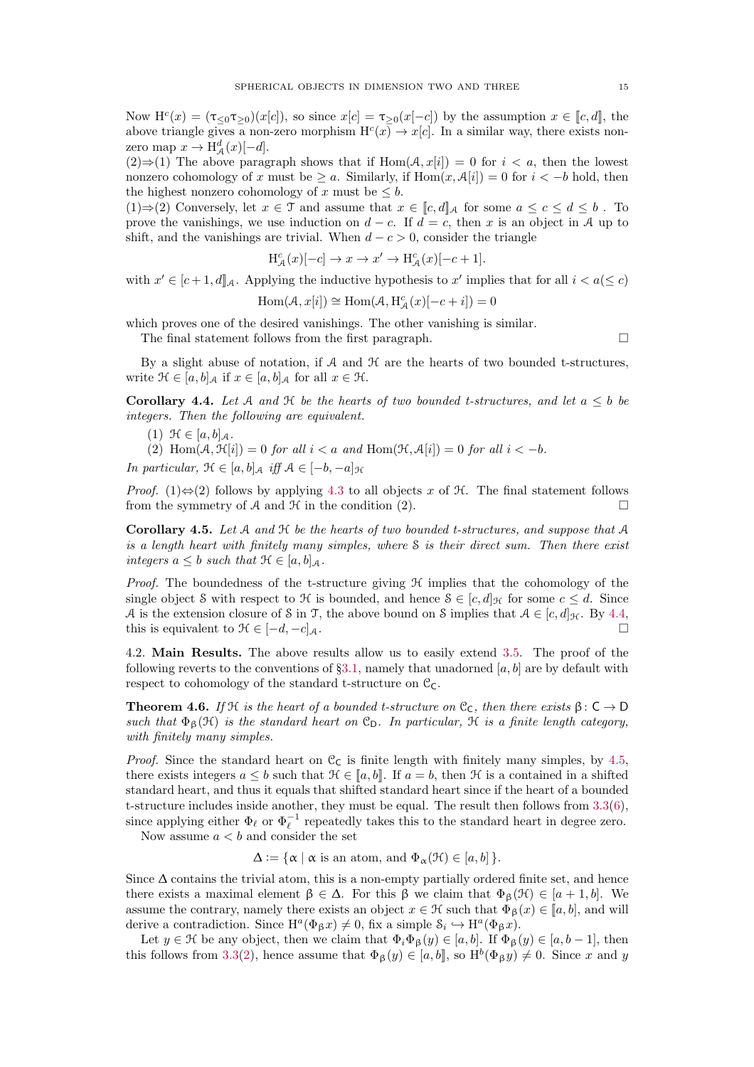Now  $\mathbf{H}^{c}(x) = (\tau_{\leq 0} \tau_{\geq 0})(x[c])$ , so since  $x[c] = \tau_{\geq 0}(x[-c])$  by the assumption  $x \in [c, d]$ , the above triangle gives a non-zero morphism  $H^c(x) \to x[c]$ . In a similar way, there exists nonzero map  $x \to \mathrm{H}^d_{\mathcal{A}}(x)[-d].$ 

 $(2) \Rightarrow (1)$  The above paragraph shows that if  $\text{Hom}(\mathcal{A}, x[i]) = 0$  for  $i < a$ , then the lowest nonzero cohomology of x must be  $\geq a$ . Similarly, if  $\text{Hom}(x, \mathcal{A}[i]) = 0$  for  $i < -b$  hold, then the highest nonzero cohomology of x must be  $\leq b$ .

(1)⇒(2) Conversely, let  $x \in \mathcal{T}$  and assume that  $x \in \llbracket c, d \rrbracket_A$  for some  $a \leq c \leq d \leq b$ . To prove the vanishings, we use induction on  $d - c$ . If  $d = c$ , then x is an object in A up to shift, and the vanishings are trivial. When  $d - c > 0$ , consider the triangle

$$
H_{\mathcal{A}}^{c}(x)[-c] \rightarrow x \rightarrow x' \rightarrow H_{\mathcal{A}}^{c}(x)[-c+1].
$$

with  $x' \in [c+1, d]$  Applying the inductive hypothesis to x' implies that for all  $i < a \leq c$ )

$$
\operatorname{Hom}(\mathcal{A}, x[i]) \cong \operatorname{Hom}(\mathcal{A}, \operatorname{H}_{\mathcal{A}}^c(x)[-c+i]) = 0
$$

which proves one of the desired vanishings. The other vanishing is similar.

The final statement follows from the first paragraph.  $\square$ 

By a slight abuse of notation, if  $A$  and  $H$  are the hearts of two bounded t-structures, write  $\mathcal{H} \in [a, b]_{\mathcal{A}}$  if  $x \in [a, b]_{\mathcal{A}}$  for all  $x \in \mathcal{H}$ .

<span id="page-14-1"></span>Corollary 4.4. Let A and  $\mathcal H$  be the hearts of two bounded t-structures, and let  $a \leq b$  be integers. Then the following are equivalent.

(1)  $\mathcal{H} \in [a, b]_{\mathcal{A}}$ .

- (2) Hom $(A, \mathcal{H}[i]) = 0$  for all  $i < a$  and Hom $(\mathcal{H}, \mathcal{A}[i]) = 0$  for all  $i < -b$ .
- In particular,  $\mathcal{H} \in [a, b]_A$  iff  $\mathcal{A} \in [-b, -a]_{\mathcal{H}}$

*Proof.* (1) $\Leftrightarrow$ (2) follows by applying [4.3](#page-13-0) to all objects x of H. The final statement follows from the symmetry of A and  $\mathcal H$  in the condition (2).

<span id="page-14-2"></span>**Corollary 4.5.** Let  $A$  and  $H$  be the hearts of two bounded t-structures, and suppose that  $A$ is a length heart with finitely many simples, where  $S$  is their direct sum. Then there exist integers  $a \leq b$  such that  $\mathcal{H} \in [a, b]_A$ .

*Proof.* The boundedness of the t-structure giving  $H$  implies that the cohomology of the single object S with respect to  $\mathcal{H}$  is bounded, and hence  $S \in [c, d]_{\mathcal{H}}$  for some  $c \leq d$ . Since A is the extension closure of S in T, the above bound on S implies that  $A \in [c, d]_{\mathcal{H}}$ . By [4.4,](#page-14-1) this is equivalent to  $\mathcal{H} \in [-d, -c]_{\mathcal{A}}$ .

4.2. Main Results. The above results allow us to easily extend [3.5.](#page-10-0) The proof of the following reverts to the conventions of §[3.1,](#page-9-9) namely that unadorned [a, b] are by default with respect to cohomology of the standard t-structure on  $\mathcal{C}_{\mathsf{C}}$ .

<span id="page-14-0"></span>**Theorem 4.6.** If H is the heart of a bounded t-structure on  $C_C$ , then there exists  $\beta: C \to D$ such that  $\Phi_{\beta}(\mathcal{H})$  is the standard heart on  $\mathcal{C}_{D}$ . In particular,  $\mathcal{H}$  is a finite length category, with finitely many simples.

*Proof.* Since the standard heart on  $C<sub>C</sub>$  is finite length with finitely many simples, by [4.5,](#page-14-2) there exists integers  $a \leq b$  such that  $\mathcal{H} \in [a, b]$ . If  $a = b$ , then  $\mathcal{H}$  is a contained in a shifted standard heart, and thus it equals that shifted standard heart since if the heart of a bounded t-structure includes inside another, they must be equal. The result then follows from [3.3](#page-9-0)[\(6\)](#page-9-2), since applying either  $\Phi_{\ell}$  or  $\Phi_{\ell}^{-1}$  repeatedly takes this to the standard heart in degree zero.

Now assume  $a < b$  and consider the set

 $\Delta := {\alpha | \alpha \text{ is an atom, and } \Phi_{\alpha}(\mathcal{H}) \in [a, b] }$ .

Since  $\Delta$  contains the trivial atom, this is a non-empty partially ordered finite set, and hence there exists a maximal element  $\beta \in \Delta$ . For this  $\beta$  we claim that  $\Phi_{\beta}(\mathcal{H}) \in [a+1,b]$ . We assume the contrary, namely there exists an object  $x \in \mathcal{H}$  such that  $\Phi_{\beta}(x) \in [a, b]$ , and will derive a contradiction. Since  $H^a(\Phi_{\beta} x) \neq 0$ , fix a simple  $\mathcal{S}_i \hookrightarrow H^a(\Phi_{\beta} x)$ .

Let  $y \in \mathcal{H}$  be any object, then we claim that  $\Phi_i \Phi_\beta(y) \in [a, b]$ . If  $\Phi_\beta(y) \in [a, b-1]$ , then this follows from [3.3](#page-9-0)[\(2\)](#page-9-1), hence assume that  $\Phi_{\beta}(y) \in [a, b]$ , so  $H^{b}(\Phi_{\beta} y) \neq 0$ . Since x and y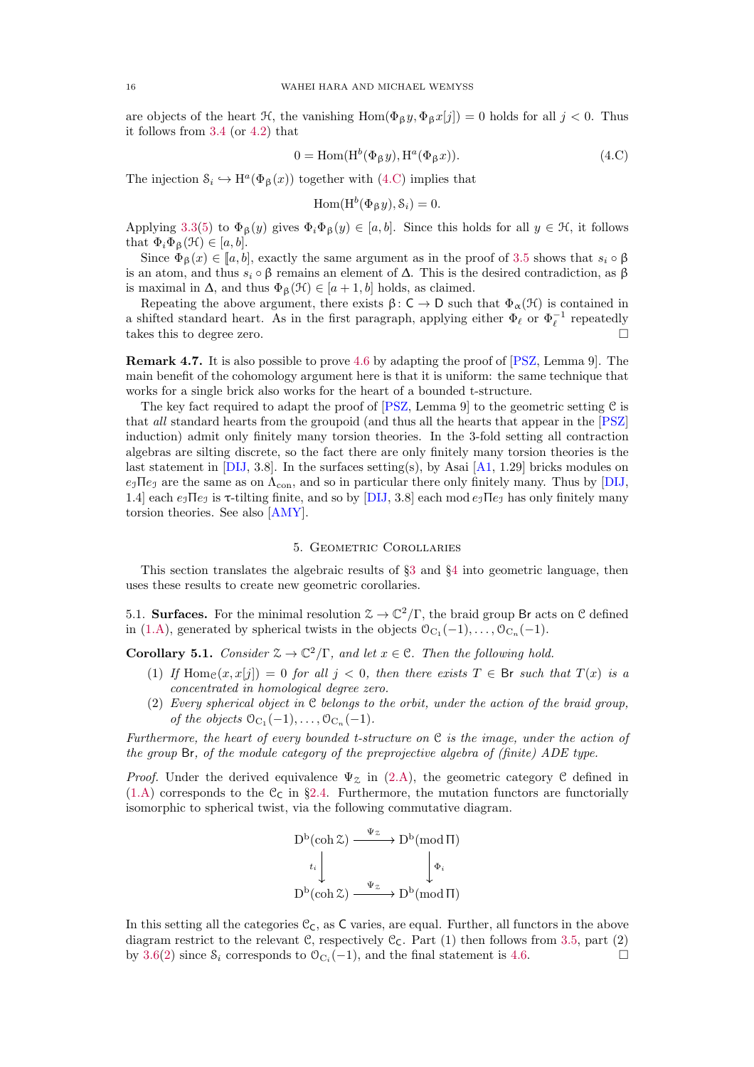<span id="page-15-5"></span>are objects of the heart  $\mathcal{H}$ , the vanishing  $\text{Hom}(\Phi_{\beta} y, \Phi_{\beta} x[j]) = 0$  holds for all  $j < 0$ . Thus it follows from [3.4](#page-9-4) (or [4.2\)](#page-13-1) that

<span id="page-15-2"></span>
$$
0 = \text{Hom}(\text{H}^b(\Phi_\beta y), \text{H}^a(\Phi_\beta x)).\tag{4.C}
$$

The injection  $\mathcal{S}_i \hookrightarrow \mathrm{H}^a(\Phi_\beta(x))$  together with [\(4.C\)](#page-15-2) implies that

$$
\operatorname{Hom}(\operatorname{H}^{b}(\Phi_{\beta} y), \mathcal{S}_{i}) = 0.
$$

Applying [3.3](#page-9-0)[\(5\)](#page-9-7) to  $\Phi_{\beta}(y)$  gives  $\Phi_i \Phi_{\beta}(y) \in [a, b]$ . Since this holds for all  $y \in \mathcal{H}$ , it follows that  $\Phi_i \Phi_{\beta}(\mathcal{H}) \in [a, b]$ .

Since  $\Phi_{\beta}(x) \in [a, b]$ , exactly the same argument as in the proof of [3.5](#page-10-0) shows that  $s_i \circ \beta$ is an atom, and thus  $s_i \circ \beta$  remains an element of  $\Delta$ . This is the desired contradiction, as  $\beta$ is maximal in  $\Delta$ , and thus  $\Phi_{\beta}(\mathcal{H}) \in [a+1, b]$  holds, as claimed.

Repeating the above argument, there exists  $\beta: C \to D$  such that  $\Phi_{\alpha}(H)$  is contained in a shifted standard heart. As in the first paragraph, applying either  $\Phi_{\ell}$  or  $\Phi_{\ell}^{-1}$  repeatedly takes this to degree zero.

Remark 4.7. It is also possible to prove [4.6](#page-14-0) by adapting the proof of [\[PSZ,](#page-24-16) Lemma 9]. The main benefit of the cohomology argument here is that it is uniform: the same technique that works for a single brick also works for the heart of a bounded t-structure.

The key fact required to adapt the proof of  $[PSZ]$ , Lemma 9 to the geometric setting C is that all standard hearts from the groupoid (and thus all the hearts that appear in the [\[PSZ\]](#page-24-16) induction) admit only finitely many torsion theories. In the 3-fold setting all contraction algebras are silting discrete, so the fact there are only finitely many torsion theories is the last statement in [\[DIJ,](#page-23-20) 3.8]. In the surfaces setting(s), by Asai  $[A1, 1.29]$  bricks modules on  $e_1\Pi e_1$  are the same as on  $\Lambda_{con}$ , and so in particular there only finitely many. Thus by [\[DIJ,](#page-23-20) 1.4] each  $e_3$  IIe<sub>J</sub> is  $\tau$ -tilting finite, and so by [\[DIJ,](#page-23-20) 3.8] each mod  $e_3$  IIe<sub>J</sub> has only finitely many torsion theories. See also [\[AMY\]](#page-23-21).

### 5. Geometric Corollaries

<span id="page-15-0"></span>This section translates the algebraic results of §[3](#page-8-3) and §[4](#page-12-5) into geometric language, then uses these results to create new geometric corollaries.

5.1. **Surfaces.** For the minimal resolution  $\mathcal{Z} \to \mathbb{C}^2/\Gamma$ , the braid group Br acts on C defined in [\(1.A\)](#page-1-1), generated by spherical twists in the objects  $\mathcal{O}_{C_1}(-1), \ldots, \mathcal{O}_{C_n}(-1)$ .

<span id="page-15-3"></span><span id="page-15-1"></span>**Corollary 5.1.** Consider  $\mathcal{Z} \to \mathbb{C}^2/\Gamma$ , and let  $x \in \mathbb{C}$ . Then the following hold.

- (1) If Home  $(x, x[j]) = 0$  for all  $j < 0$ , then there exists  $T \in \mathsf{Br}$  such that  $T(x)$  is a concentrated in homological degree zero.
- <span id="page-15-4"></span>(2) Every spherical object in C belongs to the orbit, under the action of the braid group, of the objects  $\mathcal{O}_{C_1}(-1), \ldots, \mathcal{O}_{C_n}(-1)$ .

Furthermore, the heart of every bounded t-structure on  $\mathfrak C$  is the image, under the action of the group Br, of the module category of the preprojective algebra of (finite) ADE type.

*Proof.* Under the derived equivalence  $\Psi_{\mathcal{Z}}$  in [\(2.A\)](#page-4-1), the geometric category C defined in  $(1.A)$  corresponds to the  $C<sub>C</sub>$  in §[2.4.](#page-6-0) Furthermore, the mutation functors are functorially isomorphic to spherical twist, via the following commutative diagram.

$$
D^{b}(\operatorname{coh} \mathcal{Z}) \xrightarrow{\Psi_{\mathcal{Z}}} D^{b}(\operatorname{mod} \Pi)
$$
  
\n $t_{i}$ \n $\downarrow \qquad \qquad \downarrow \Phi_{i}$   
\n $D^{b}(\operatorname{coh} \mathcal{Z}) \xrightarrow{\Psi_{\mathcal{Z}}} D^{b}(\operatorname{mod} \Pi)$ 

In this setting all the categories  $\mathcal{C}_{\mathsf{C}}$ , as C varies, are equal. Further, all functors in the above diagram restrict to the relevant C, respectively  $\mathcal{C}_{\mathsf{C}}$ . Part (1) then follows from [3.5,](#page-10-0) part (2) by [3.6\(](#page-11-0)[2\)](#page-11-2) since  $\mathcal{S}_i$  corresponds to  $\mathcal{O}_{C_i}(-1)$ , and the final statement is [4.6.](#page-14-0)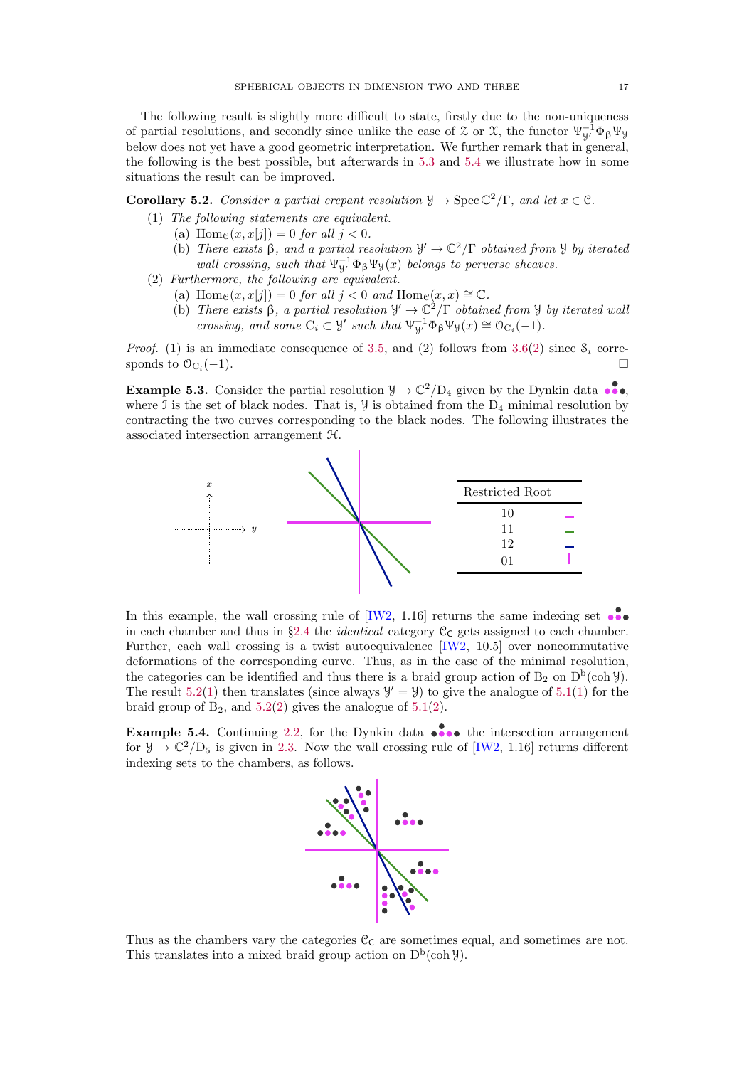<span id="page-16-5"></span>The following result is slightly more difficult to state, firstly due to the non-uniqueness of partial resolutions, and secondly since unlike the case of  $\mathcal Z$  or  $\mathcal X$ , the functor  $\Psi_{y'}^{-1} \Phi_{\beta} \Psi_{y'}$ below does not yet have a good geometric interpretation. We further remark that in general, the following is the best possible, but afterwards in [5.3](#page-16-1) and [5.4](#page-16-2) we illustrate how in some situations the result can be improved.

<span id="page-16-3"></span><span id="page-16-0"></span>**Corollary 5.2.** Consider a partial crepant resolution  $\mathcal{Y} \to \text{Spec } \mathbb{C}^2/\Gamma$ , and let  $x \in \mathcal{C}$ .

- (1) The following statements are equivalent.
	- (a) Home $(x, x[i]) = 0$  for all  $i < 0$ .
	- (b) There exists  $\beta$ , and a partial resolution  $\mathcal{Y}' \to \mathbb{C}^2/\Gamma$  obtained from  $\mathcal{Y}$  by iterated wall crossing, such that  $\Psi_{\mathcal{Y}}^{-1} \Phi_{\beta} \Psi_{\mathcal{Y}}(x)$  belongs to perverse sheaves.
- <span id="page-16-4"></span>(2) Furthermore, the following are equivalent.
	- (a) Hom $e(x, x[j]) = 0$  for all  $j < 0$  and Hom $e(x, x) \cong \mathbb{C}$ .
	- (b) There exists  $\beta$ , a partial resolution  $\mathcal{Y}' \to \mathbb{C}^2/\Gamma$  obtained from  $\mathcal{Y}$  by iterated wall crossing, and some  $C_i \subset \mathcal{Y}'$  such that  $\Psi_{\mathcal{Y}'}^{-1} \Phi_{\beta} \Psi_{\mathcal{Y}}(x) \cong \mathcal{O}_{C_i}(-1)$ .

*Proof.* (1) is an immediate consequence of [3.5,](#page-10-0) and (2) follows from [3.6\(](#page-11-0)[2\)](#page-11-2) since  $S_i$  corresponds to  $\mathcal{O}_{C_i}(-1)$ . (−1).

<span id="page-16-1"></span>**Example 5.3.** Consider the partial resolution  $\mathcal{Y} \to \mathbb{C}^2/\mathbb{D}_4$  given by the Dynkin data  $\bullet\bullet$ , where  $\mathcal I$  is the set of black nodes. That is,  $\mathcal Y$  is obtained from the  $D_4$  minimal resolution by contracting the two curves corresponding to the black nodes. The following illustrates the associated intersection arrangement H.



In this example, the wall crossing rule of  $[IW2, 1.16]$  returns the same indexing set in each chamber and thus in §[2.4](#page-6-0) the *identical* category  $C_C$  gets assigned to each chamber. Further, each wall crossing is a twist autoequivalence [\[IW2,](#page-24-4) 10.5] over noncommutative deformations of the corresponding curve. Thus, as in the case of the minimal resolution, the categories can be identified and thus there is a braid group action of  $B_2$  on  $D^b(\text{coh }\mathcal{Y})$ . The result [5.2](#page-16-0)[\(1\)](#page-15-3) then translates (since always  $\mathcal{Y}' = \mathcal{Y}$ ) to give the analogue of [5.1](#page-15-1)(1) for the braid group of  $B_2$ , and  $5.2(2)$  $5.2(2)$  gives the analogue of  $5.1(2)$  $5.1(2)$ .

<span id="page-16-2"></span>**Example 5.4.** Continuing [2.2,](#page-5-0) for the Dynkin data  $\bullet \bullet \bullet \bullet$  the intersection arrangement for  $\mathcal{Y} \to \mathbb{C}^2/\mathbb{D}_5$  is given in [2.3.](#page-5-1) Now the wall crossing rule of [\[IW2,](#page-24-4) 1.16] returns different indexing sets to the chambers, as follows.



Thus as the chambers vary the categories  $\mathcal{C}_{\mathsf{C}}$  are sometimes equal, and sometimes are not. This translates into a mixed braid group action on  $D^b(\text{coh } \mathcal{Y})$ .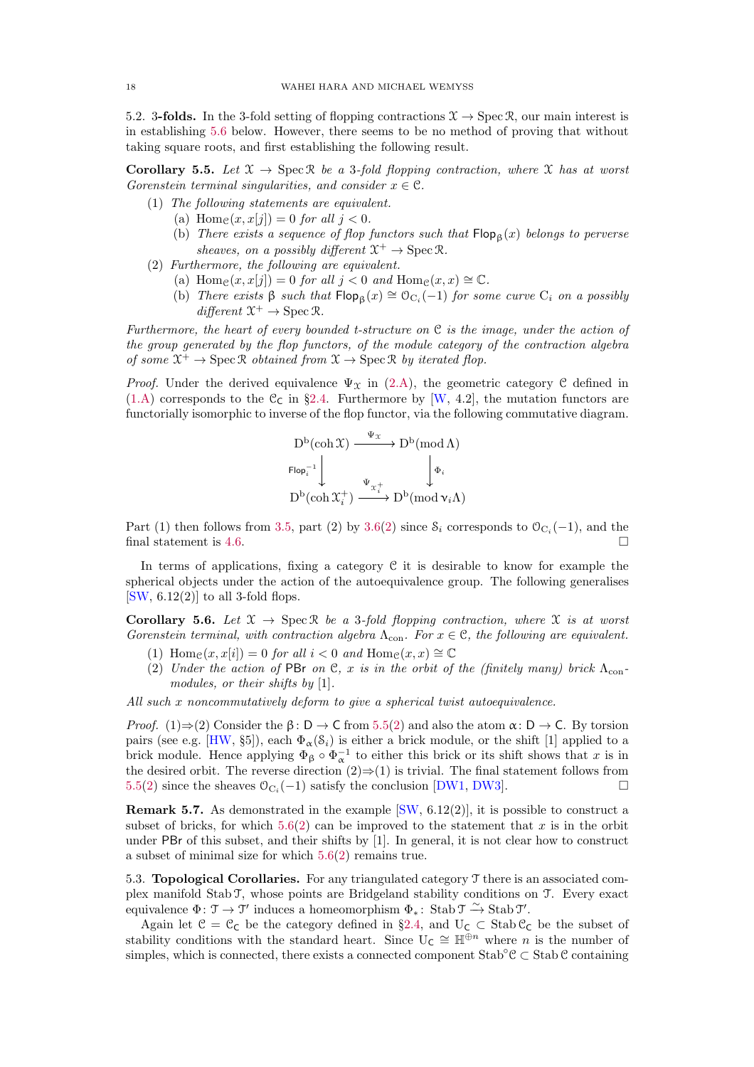<span id="page-17-4"></span>5.2. 3-folds. In the 3-fold setting of flopping contractions  $\mathcal{X} \to \text{Spec } \mathcal{R}$ , our main interest is in establishing [5.6](#page-17-1) below. However, there seems to be no method of proving that without taking square roots, and first establishing the following result.

<span id="page-17-0"></span>**Corollary 5.5.** Let  $\mathcal{X} \to \text{Spec } \mathcal{R}$  be a 3-fold flopping contraction, where  $\mathcal{X}$  has at worst Gorenstein terminal singularities, and consider  $x \in \mathcal{C}$ .

- (1) The following statements are equivalent.
	- (a) Home $(x, x[i]) = 0$  for all  $i < 0$ .
	- (b) There exists a sequence of flop functors such that  $\mathsf{Flop}_{\beta}(x)$  belongs to perverse sheaves, on a possibly different  $\mathfrak{X}^+ \to \operatorname{Spec} \mathfrak{R}$ .
- <span id="page-17-2"></span>(2) Furthermore, the following are equivalent.
	- (a) Home $(x, x[i]) = 0$  for all  $i < 0$  and Home $(x, x) \cong \mathbb{C}$ .
	- (b) There exists  $\beta$  such that  $\mathsf{Flop}_{\beta}(x) \cong \mathcal{O}_{C_i}(-1)$  for some curve  $C_i$  on a possibly  $differential \mathfrak{X}^+ \to \operatorname{Spec} \mathfrak{R}.$

Furthermore, the heart of every bounded t-structure on  $\mathfrak C$  is the image, under the action of the group generated by the flop functors, of the module category of the contraction algebra of some  $\mathfrak{X}^+ \to \operatorname{Spec} \mathfrak{R}$  obtained from  $\mathfrak{X} \to \operatorname{Spec} \mathfrak{R}$  by iterated flop.

*Proof.* Under the derived equivalence  $\Psi_{\mathfrak{X}}$  in [\(2.A\)](#page-4-1), the geometric category C defined in  $(1.A)$  corresponds to the C<sub>C</sub> in §[2.4.](#page-6-0) Furthermore by [\[W,](#page-24-6) 4.2], the mutation functors are functorially isomorphic to inverse of the flop functor, via the following commutative diagram.

$$
D^b(\operatorname{coh} \mathfrak{X}) \xrightarrow{\Psi_{\mathfrak{X}}} D^b(\operatorname{mod} \Lambda)
$$
  
\n
$$
\operatorname{Flop}_i^{-1} \downarrow \qquad \qquad \downarrow \Phi_i
$$
  
\n
$$
D^b(\operatorname{coh} \mathfrak{X}_i^+) \xrightarrow{\Psi_{\mathfrak{X}_i^+}} D^b(\operatorname{mod} \mathfrak{v}_i \Lambda)
$$

Part (1) then follows from [3.5,](#page-10-0) part (2) by [3.6](#page-11-0)[\(2\)](#page-11-2) since  $S_i$  corresponds to  $\mathcal{O}_{C_i}(-1)$ , and the final statement is [4.6.](#page-14-0)  $\Box$ 

In terms of applications, fixing a category  $C$  it is desirable to know for example the spherical objects under the action of the autoequivalence group. The following generalises  $[SW, 6.12(2)]$  $[SW, 6.12(2)]$  to all 3-fold flops.

<span id="page-17-1"></span>Corollary 5.6. Let  $\mathfrak{X} \to \text{Spec } \mathbb{R}$  be a 3-fold flopping contraction, where  $\mathfrak{X}$  is at worst Gorenstein terminal, with contraction algebra  $\Lambda_{con}$ . For  $x \in \mathcal{C}$ , the following are equivalent.

- <span id="page-17-3"></span>(1) Hom $e(x, x[i]) = 0$  for all  $i < 0$  and Hom $e(x, x) \cong \mathbb{C}$
- (2) Under the action of PBr on C, x is in the orbit of the (finitely many) brick  $\Lambda_{\text{con}}$ modules, or their shifts by [1].

All such x noncommutatively deform to give a spherical twist autoequivalence.

*Proof.* (1) $\Rightarrow$ ([2\)](#page-17-2) Consider the  $\beta$ : D  $\rightarrow$  C from [5.5\(](#page-17-0)2) and also the atom  $\alpha$ : D  $\rightarrow$  C. By torsion pairs (see e.g. [\[HW,](#page-23-14) §5]), each  $\Phi_{\alpha}(S_i)$  is either a brick module, or the shift [1] applied to a brick module. Hence applying  $\Phi_{\beta} \circ \Phi_{\alpha}^{-1}$  to either this brick or its shift shows that x is in the desired orbit. The reverse direction  $(2) \Rightarrow (1)$  is trivial. The final statement follows from [5.5\(](#page-17-0)[2\)](#page-17-2) since the sheaves  $\mathcal{O}_{C_i}(-1)$  satisfy the conclusion [\[DW1,](#page-23-2) [DW3\]](#page-23-10).

**Remark 5.7.** As demonstrated in the example  $\left[\text{SW}, 6.12(2)\right]$ , it is possible to construct a subset of bricks, for which  $5.6(2)$  $5.6(2)$  can be improved to the statement that x is in the orbit under PBr of this subset, and their shifts by [1]. In general, it is not clear how to construct a subset of minimal size for which [5.6\(](#page-17-1)[2\)](#page-17-3) remains true.

5.3. Topological Corollaries. For any triangulated category T there is an associated complex manifold Stab T, whose points are Bridgeland stability conditions on T. Every exact equivalence  $\Phi: \mathfrak{T} \to \mathfrak{T}'$  induces a homeomorphism  $\Phi_* \colon \operatorname{Stab} \mathfrak{T} \xrightarrow{\sim} \operatorname{Stab} \mathfrak{T}'$ .

Again let  $C = C_C$  be the category defined in §[2.4,](#page-6-0) and  $U_C \subset$  Stab  $C_C$  be the subset of stability conditions with the standard heart. Since  $U_{\mathsf{C}} \cong \mathbb{H}^{\oplus n}$  where n is the number of simples, which is connected, there exists a connected component  $\text{Stab}$ <sup>°</sup>C  $\subset$  Stab C containing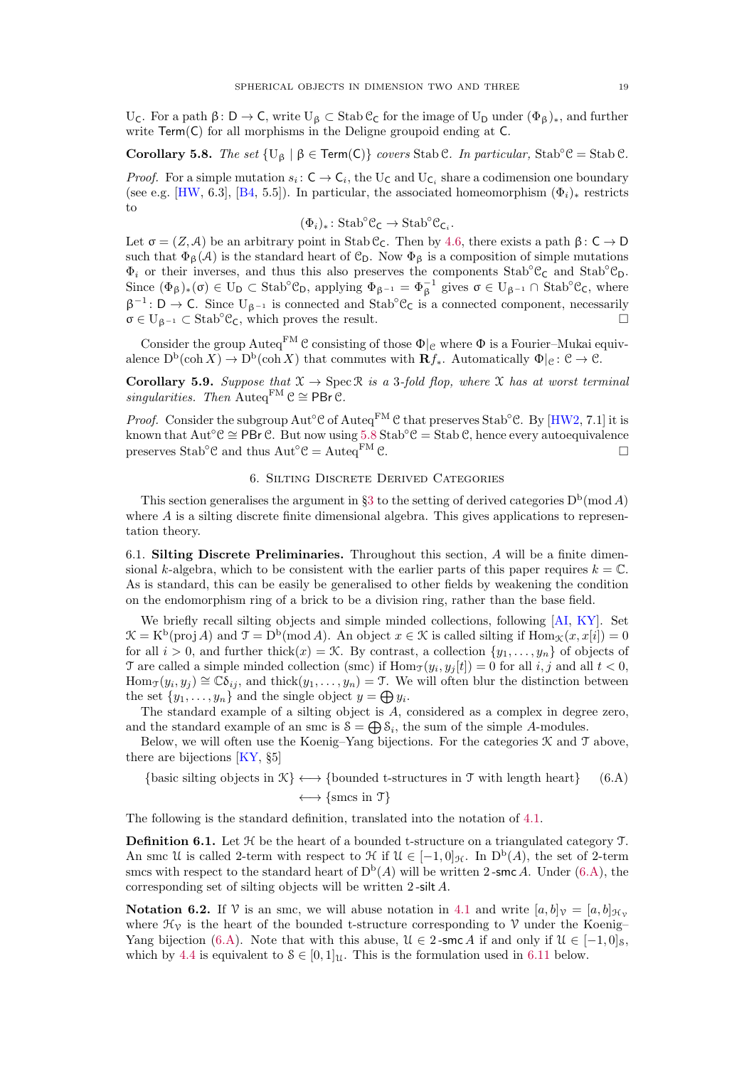<span id="page-18-6"></span>U<sub>C</sub>. For a path β: D → C, write U<sub>β</sub> ⊂ Stab C<sub>C</sub> for the image of U<sub>D</sub> under  $(\Phi_{\beta})_*$ , and further write Term(C) for all morphisms in the Deligne groupoid ending at C.

<span id="page-18-0"></span>Corollary 5.8. The set  $\{U_\beta \mid \beta \in \text{Term}(\mathsf{C})\}$  covers Stab C. In particular, Stab<sup>°</sup>C = Stab C.

*Proof.* For a simple mutation  $s_i: \mathsf{C} \to \mathsf{C}_i$ , the U<sub>C</sub> and U<sub>C<sub>i</sub></sub> share a codimension one boundary (see e.g. [\[HW,](#page-23-14) 6.3], [\[B4,](#page-23-22) 5.5]). In particular, the associated homeomorphism  $(\Phi_i)_*$  restricts to

$$
(\Phi_i)_* \colon \mathrm{Stab}^{\circ}\mathcal{C}_{\mathsf{C}} \to \mathrm{Stab}^{\circ}\mathcal{C}_{\mathsf{C}_i}.
$$

Let  $\sigma = (Z, \mathcal{A})$  be an arbitrary point in Stab C<sub>C</sub>. Then by [4.6,](#page-14-0) there exists a path  $\beta : C \to D$ such that  $\Phi_{\beta}(\mathcal{A})$  is the standard heart of  $\mathcal{C}_{D}$ . Now  $\Phi_{\beta}$  is a composition of simple mutations  $\Phi_i$  or their inverses, and thus this also preserves the components Stab<sup>°</sup>C<sub>C</sub> and Stab<sup>°</sup>C<sub>D</sub>. Since  $(\Phi_{\beta})_*(\sigma) \in U_D \subset Stab^{\circ} \mathcal{C}_D$ , applying  $\Phi_{\beta^{-1}} = \Phi_{\beta}^{-1}$  gives  $\sigma \in U_{\beta^{-1}} \cap Stab^{\circ} \mathcal{C}_C$ , where  $\beta^{-1}$ : D → C. Since U<sub> $\beta^{-1}$ </sub> is connected and Stab<sup>°</sup>C<sub>C</sub> is a connected component, necessarily  $\sigma \in U_{\beta^{-1}} \subset \text{Stab}^{\circ} \mathcal{C}_{\mathsf{C}}$ , which proves the result.

Consider the group Auteq<sup>FM</sup> C consisting of those  $\Phi|_C$  where  $\Phi$  is a Fourier–Mukai equivalence  $D^b(\operatorname{coh} X) \to D^b(\operatorname{coh} X)$  that commutes with  $\mathbf{R} f_*$ . Automatically  $\Phi|_{\mathcal{C}}: \mathcal{C} \to \mathcal{C}$ .

<span id="page-18-1"></span>Corollary 5.9. Suppose that  $\mathfrak{X} \to \operatorname{Spec} \mathfrak{R}$  is a 3-fold flop, where  $\mathfrak{X}$  has at worst terminal singularities. Then Auteq<sup>FM</sup>  $\mathcal{C} \cong \mathsf{PBr} \mathcal{C}$ .

*Proof.* Consider the subgroup  $Aut^{\circ}C$  of  $Aut^{\circ}C$  that preserves Stab<sup>°</sup>C. By [\[HW2,](#page-23-8) 7.1] it is known that  $Aut^\circ \mathcal{C} \cong PBr \mathcal{C}$ . But now using  $5.8$  Stab<sup> $\circ \mathcal{C} =$ </sup>Stab  $\mathcal{C}$ , hence every autoequivalence preserves Stab<sup>°</sup>C and thus Aut<sup>°</sup>C = Auteq<sup>FM</sup> C.

# 6. Silting Discrete Derived Categories

<span id="page-18-3"></span>This section generalises the argument in §[3](#page-8-3) to the setting of derived categories  $D<sup>b</sup>$ (mod A) where  $A$  is a silting discrete finite dimensional algebra. This gives applications to representation theory.

<span id="page-18-2"></span>6.1. Silting Discrete Preliminaries. Throughout this section, A will be a finite dimensional k-algebra, which to be consistent with the earlier parts of this paper requires  $k = \mathbb{C}$ . As is standard, this can be easily be generalised to other fields by weakening the condition on the endomorphism ring of a brick to be a division ring, rather than the base field.

We briefly recall silting objects and simple minded collections, following [\[AI,](#page-23-23) [KY\]](#page-24-17). Set  $\mathcal{K} = K^{\mathbf{b}}(\text{proj }A)$  and  $\mathcal{T} = D^{\mathbf{b}}(\text{mod }A)$ . An object  $x \in \mathcal{K}$  is called silting if  $\text{Hom}_{\mathcal{K}}(x, x[i]) = 0$ for all  $i > 0$ , and further thick $(x) = \mathcal{K}$ . By contrast, a collection  $\{y_1, \ldots, y_n\}$  of objects of T are called a simple minded collection (smc) if  $\text{Hom}_{\mathcal{J}}(y_i, y_j[t]) = 0$  for all  $i, j$  and all  $t < 0$ ,  $\text{Hom}_{\mathcal{T}}(y_i, y_j) \cong \mathbb{C}\delta_{ij}$ , and thick $(y_1, \ldots, y_n) = \mathcal{T}$ . We will often blur the distinction between the set  $\{y_1, \ldots, y_n\}$  and the single object  $y = \bigoplus y_i$ .

The standard example of a silting object is A, considered as a complex in degree zero, and the standard example of an smc is  $S = \bigoplus S_i$ , the sum of the simple A-modules.

Below, we will often use the Koenig–Yang bijections. For the categories  $\mathcal K$  and  $\mathcal T$  above, there are bijections [\[KY,](#page-24-17) §5]

<span id="page-18-4"></span>{basic silting objects in  $\mathcal{K} \longleftrightarrow$  {bounded t-structures in  $\mathcal{T}$  with length heart} (6.A)  $\longleftrightarrow$  {smcs in  $\mathcal{T}$ }

The following is the standard definition, translated into the notation of [4.1.](#page-13-4)

**Definition 6.1.** Let  $H$  be the heart of a bounded t-structure on a triangulated category  $T$ . An smc U is called 2-term with respect to  $\mathcal{H}$  if  $\mathcal{U} \in [-1,0]_{\mathcal{H}}$ . In  $D^b(A)$ , the set of 2-term smcs with respect to the standard heart of  $D^b(A)$  will be written 2-smc A. Under [\(6.A\)](#page-18-4), the corresponding set of silting objects will be written 2 -silt A.

<span id="page-18-5"></span>**Notation 6.2.** If V is an smc, we will abuse notation in [4.1](#page-13-4) and write  $[a, b]_v = [a, b]_{\mathcal{H}_v}$ where  $\mathcal{H}_{\gamma}$  is the heart of the bounded t-structure corresponding to  $\gamma$  under the Koenig– Yang bijection [\(6.A\)](#page-18-4). Note that with this abuse,  $\mathcal{U} \in 2$ -smc A if and only if  $\mathcal{U} \in [-1, 0]_S$ , which by [4.4](#page-14-1) is equivalent to  $S \in [0, 1]$ . This is the formulation used in [6.11](#page-20-0) below.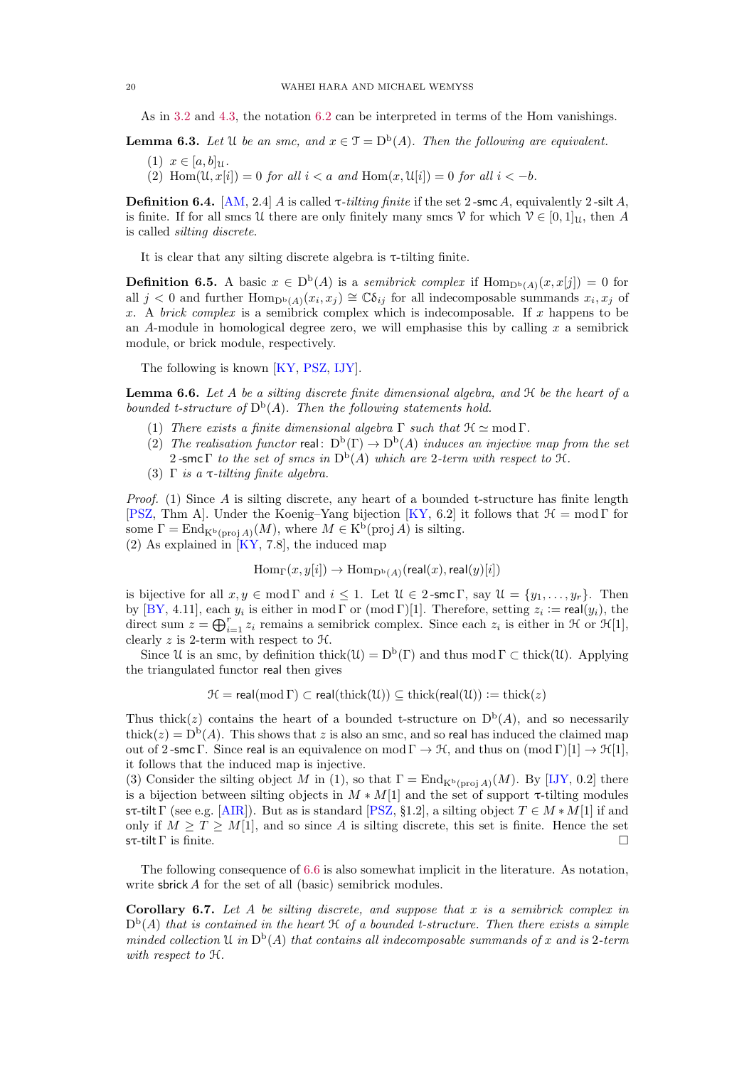<span id="page-19-6"></span>As in [3.2](#page-9-6) and [4.3,](#page-13-0) the notation [6.2](#page-18-5) can be interpreted in terms of the Hom vanishings.

<span id="page-19-3"></span>**Lemma 6.3.** Let U be an smc, and  $x \in \mathcal{T} = D^b(A)$ . Then the following are equivalent.

- (1)  $x \in [a, b]$ <sub>11</sub>.
- (2) Hom $(\mathcal{U}, x[i]) = 0$  for all  $i < a$  and Hom $(x, \mathcal{U}[i]) = 0$  for all  $i < -b$ .

<span id="page-19-4"></span>**Definition 6.4.** [\[AM,](#page-23-24) 2.4] A is called  $\tau$ -tilting finite if the set 2-smc A, equivalently 2-silt A, is finite. If for all smcs U there are only finitely many smcs  $\mathcal{V}$  for which  $\mathcal{V} \in [0, 1]_{\mathcal{U}}$ , then A is called silting discrete.

It is clear that any silting discrete algebra is  $\tau$ -tilting finite.

<span id="page-19-0"></span>**Definition 6.5.** A basic  $x \in D^b(A)$  is a semibrick complex if  $Hom_{D^b(A)}(x, x[j]) = 0$  for all  $j < 0$  and further  $\text{Hom}_{D^b(A)}(x_i, x_j) \cong \mathbb{C}\delta_{ij}$  for all indecomposable summands  $x_i, x_j$  of x. A brick complex is a semibrick complex which is indecomposable. If x happens to be an  $A$ -module in homological degree zero, we will emphasise this by calling x a semibrick module, or brick module, respectively.

The following is known [\[KY,](#page-24-17) [PSZ,](#page-24-16) [IJY\]](#page-24-18).

<span id="page-19-1"></span>**Lemma 6.6.** Let A be a silting discrete finite dimensional algebra, and  $\mathcal{H}$  be the heart of a bounded t-structure of  $D^b(A)$ . Then the following statements hold.

- <span id="page-19-2"></span>(1) There exists a finite dimensional algebra  $\Gamma$  such that  $\mathfrak{H} \simeq \text{mod } \Gamma$ .
- (2) The realisation functor real:  $D^b(\Gamma) \to D^b(A)$  induces an injective map from the set 2-smc  $\Gamma$  to the set of smcs in  $D^b(A)$  which are 2-term with respect to  $\mathfrak{H}$ .
- (3)  $\Gamma$  is a  $\tau$ -tilting finite algebra.

Proof. (1) Since A is silting discrete, any heart of a bounded t-structure has finite length [\[PSZ,](#page-24-16) Thm A]. Under the Koenig–Yang bijection [\[KY,](#page-24-17) 6.2] it follows that  $\mathcal{H} = \text{mod } \Gamma$  for some  $\Gamma = \text{End}_{K^b(\text{proj }A)}(M)$ , where  $M \in K^b(\text{proj }A)$  is silting.

(2) As explained in  $[KY, 7.8]$ , the induced map

$$
\mathrm{Hom}_{\Gamma}(x,y[i]) \to \mathrm{Hom}_{\mathrm{D^b}(A)}(\mathsf{real}(x),\mathsf{real}(y)[i])
$$

is bijective for all  $x, y \in \text{mod } \Gamma$  and  $i \leq 1$ . Let  $\mathcal{U} \in 2$ -smc  $\Gamma$ , say  $\mathcal{U} = \{y_1, \ldots, y_r\}$ . Then by [\[BY,](#page-23-25) 4.11], each  $y_i$  is either in mod  $\Gamma$  or (mod  $\Gamma$ )[1]. Therefore, setting  $z_i := \text{real}(y_i)$ , the direct sum  $z = \bigoplus_{i=1}^r z_i$  remains a semibrick complex. Since each  $z_i$  is either in  $\mathcal H$  or  $\mathcal H[1]$ , clearly  $z$  is 2-term with respect to  $\mathcal{H}.$ 

Since U is an smc, by definition thick( $\mathcal{U}$ ) =  $D^b(\Gamma)$  and thus mod  $\Gamma \subset \text{thick}(\mathcal{U})$ . Applying the triangulated functor real then gives

$$
\mathcal{H} = \text{real}(\text{mod }\Gamma) \subset \text{real}(\text{thick}(\mathcal{U})) \subseteq \text{thick}(\text{real}(\mathcal{U})) := \text{thick}(z)
$$

Thus thick(z) contains the heart of a bounded t-structure on  $D^b(A)$ , and so necessarily thick(z) =  $D<sup>b</sup>(A)$ . This shows that z is also an smc, and so real has induced the claimed map out of 2-smc Γ. Since real is an equivalence on mod  $\Gamma \to \mathcal{H}$ , and thus on  $(\text{mod } \Gamma)[1] \to \mathcal{H}[1]$ , it follows that the induced map is injective.

(3) Consider the silting object M in (1), so that  $\Gamma = \text{End}_{\mathbf{K}^{\text{b}}(\text{proj }A)}(M)$ . By [\[IJY,](#page-24-18) 0.2] there is a bijection between silting objects in  $M * M[1]$  and the set of support  $\tau$ -tilting modules sτ-tilt Γ (see e.g. [\[AIR\]](#page-23-26)). But as is standard [\[PSZ,](#page-24-16) §1.2], a silting object  $T \in M * M[1]$  if and only if  $M \geq T \geq M[1]$ , and so since A is silting discrete, this set is finite. Hence the set sτ-tilt  $\Gamma$  is finite.

The following consequence of [6.6](#page-19-1) is also somewhat implicit in the literature. As notation, write **sbrick** A for the set of all (basic) semibrick modules.

<span id="page-19-5"></span>**Corollary 6.7.** Let A be silting discrete, and suppose that x is a semibrick complex in  $D<sup>b</sup>(A)$  that is contained in the heart  $\mathfrak A$  of a bounded t-structure. Then there exists a simple minded collection U in  $D^b(A)$  that contains all indecomposable summands of x and is 2-term with respect to H.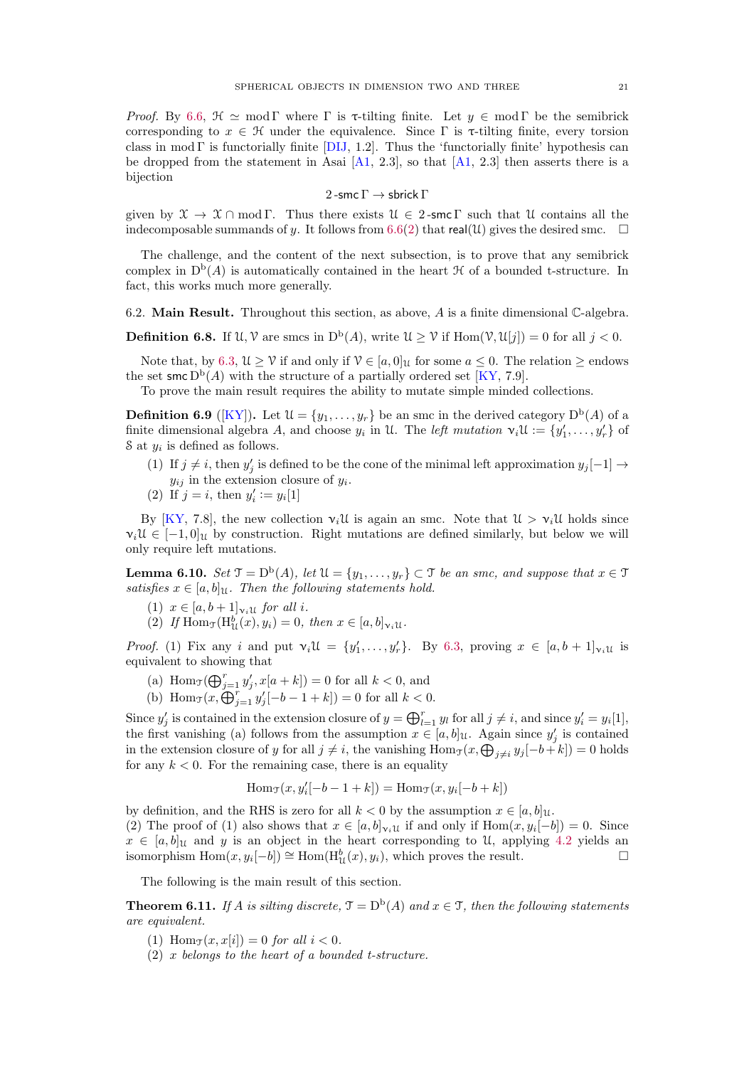<span id="page-20-2"></span>Proof. By [6.6,](#page-19-1)  $\mathcal{H} \simeq \text{mod } \Gamma$  where  $\Gamma$  is  $\tau$ -tilting finite. Let  $y \in \text{mod } \Gamma$  be the semibrick corresponding to  $x \in \mathcal{H}$  under the equivalence. Since  $\Gamma$  is  $\tau$ -tilting finite, every torsion class in mod Γ is functorially finite [\[DIJ,](#page-23-20) 1.2]. Thus the 'functorially finite' hypothesis can be dropped from the statement in Asai  $[A1, 2.3]$ , so that  $[A1, 2.3]$  then asserts there is a bijection

#### 2 -smc  $\Gamma \rightarrow$  sbrick  $\Gamma$

given by  $\mathfrak{X} \to \mathfrak{X} \cap \text{mod } \Gamma$ . Thus there exists  $\mathfrak{U} \in 2$ -smc Γ such that U contains all the indecomposable summands of y. It follows from [6.6](#page-19-1)[\(2\)](#page-19-2) that real(U) gives the desired smc.  $\square$ 

The challenge, and the content of the next subsection, is to prove that any semibrick complex in  $D^b(A)$  is automatically contained in the heart  $\mathcal H$  of a bounded t-structure. In fact, this works much more generally.

6.2. **Main Result.** Throughout this section, as above,  $A$  is a finite dimensional  $\mathbb{C}$ -algebra.

**Definition 6.8.** If  $\mathcal{U}, \mathcal{V}$  are smcs in  $D^b(A)$ , write  $\mathcal{U} \geq \mathcal{V}$  if  $\text{Hom}(\mathcal{V}, \mathcal{U}[j]) = 0$  for all  $j < 0$ .

Note that, by [6.3,](#page-19-3)  $\mathcal{U} \geq \mathcal{V}$  if and only if  $\mathcal{V} \in [a, 0]_{\mathcal{U}}$  for some  $a \leq 0$ . The relation  $\geq$  endows the set smc  $D^b(A)$  with the structure of a partially ordered set [\[KY,](#page-24-17) 7.9].

To prove the main result requires the ability to mutate simple minded collections.

**Definition 6.9** ([\[KY\]](#page-24-17)). Let  $\mathcal{U} = \{y_1, \ldots, y_r\}$  be an smc in the derived category  $D^b(A)$  of a finite dimensional algebra A, and choose  $y_i$  in U. The *left mutation*  $\mathbf{v}_i \mathfrak{U} := \{y'_1, \ldots, y'_r\}$  of  $\delta$  at  $y_i$  is defined as follows.

- (1) If  $j \neq i$ , then  $y'_j$  is defined to be the cone of the minimal left approximation  $y_j[-1] \rightarrow$  $y_{ij}$  in the extension closure of  $y_i$ .
- (2) If  $j = i$ , then  $y'_i := y_i[1]$

By [\[KY,](#page-24-17) 7.8], the new collection  $v_i\mathcal{U}$  is again an smc. Note that  $\mathcal{U} > v_i\mathcal{U}$  holds since  $\nu_i\mathcal{U} \in [-1,0]$ <sub>U</sub> by construction. Right mutations are defined similarly, but below we will only require left mutations.

<span id="page-20-1"></span>**Lemma 6.10.** Set  $\mathfrak{T} = D^b(A)$ , let  $\mathfrak{U} = \{y_1, \ldots, y_r\} \subset \mathfrak{T}$  be an smc, and suppose that  $x \in \mathfrak{T}$ satisfies  $x \in [a, b]$ u. Then the following statements hold.

- (1)  $x \in [a, b+1]_{\gamma_i \mathfrak{U}}$  for all i.
- (2) If  $\text{Hom}_{\mathcal{T}}(\text{H}^b_{\mathcal{U}}(x), y_i) = 0$ , then  $x \in [a, b]_{\mathcal{V}_i \mathcal{U}}$ .

*Proof.* (1) Fix any i and put  $v_i \mathcal{U} = \{y'_1, \ldots, y'_r\}$ . By [6.3,](#page-19-3) proving  $x \in [a, b + 1]_{v_i \mathcal{U}}$  is equivalent to showing that

- (a)  $\text{Hom}_{\mathcal{J}}(\bigoplus_{j=1}^r y'_j, x[a+k]) = 0$  for all  $k < 0$ , and
- (b) Hom $\tau(x, \overset{\sim}{\bigoplus}_{j=1}^r y'_j[-b-1+k]) = 0$  for all  $k < 0$ .

Since  $y'_j$  is contained in the extension closure of  $y = \bigoplus_{l=1}^r y_l$  for all  $j \neq i$ , and since  $y'_i = y_i[1]$ , the first vanishing (a) follows from the assumption  $x \in [a, b]$ <sub>U</sub>. Again since  $y'_{j}$  is contained in the extension closure of y for all  $j \neq i$ , the vanishing  $\text{Hom}_{\mathcal{T}}(x, \bigoplus_{j \neq i} y_j[-b+k]) = 0$  holds for any  $k < 0$ . For the remaining case, there is an equality

$$
\operatorname{Hom}\nolimits_{\mathfrak T}(x,y'_i[-b-1+k])=\operatorname{Hom}\nolimits_{\mathfrak T}(x,y_i[-b+k])
$$

by definition, and the RHS is zero for all  $k < 0$  by the assumption  $x \in [a, b]$ u. (2) The proof of (1) also shows that  $x \in [a, b]_{\nu_i \mathcal{U}}$  if and only if  $\text{Hom}(x, y_i[-b]) = 0$ . Since  $x \in [a, b]$ u and y is an object in the heart corresponding to U, applying [4.2](#page-13-1) yields an isomorphism  $\text{Hom}(x, y_i[-b]) \cong \text{Hom}(\text{H}^b_{\mathcal{U}}(x), y_i)$ , which proves the result.

The following is the main result of this section.

<span id="page-20-0"></span>**Theorem 6.11.** If A is silting discrete,  $\mathcal{T} = D^b(A)$  and  $x \in \mathcal{T}$ , then the following statements are equivalent.

- (1) Hom $\tau(x, x[i]) = 0$  for all  $i < 0$ .
- $(2)$  x belongs to the heart of a bounded t-structure.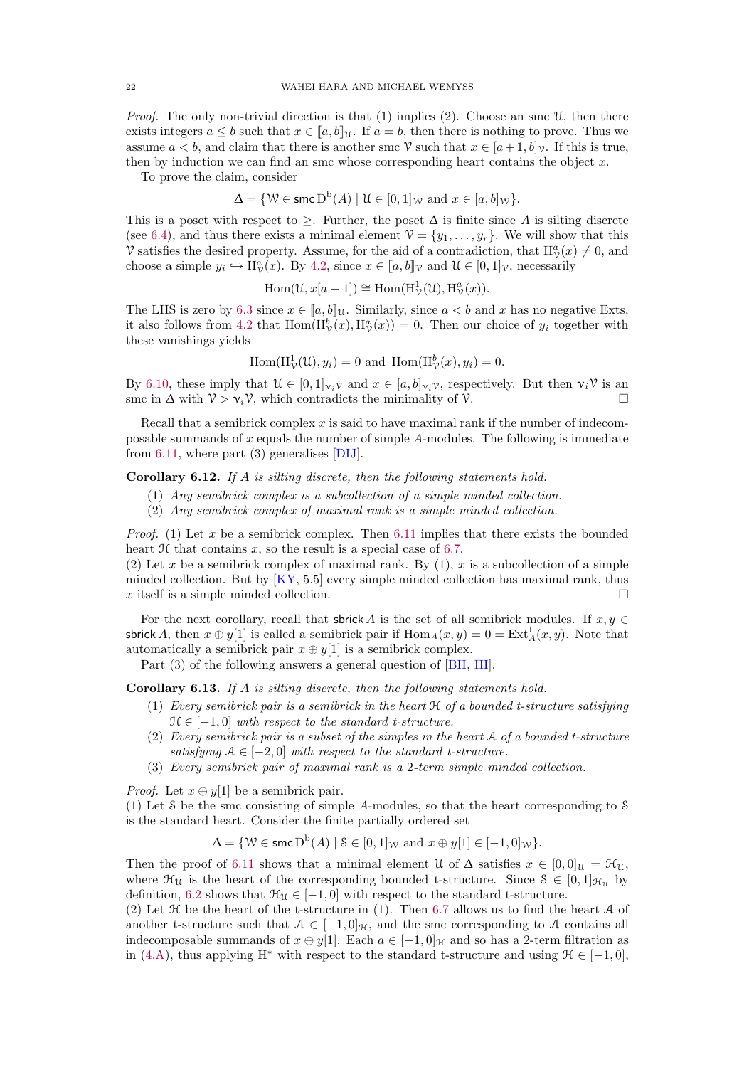<span id="page-21-4"></span>*Proof.* The only non-trivial direction is that  $(1)$  implies  $(2)$ . Choose an smc  $\mathcal{U}$ , then there exists integers  $a \leq b$  such that  $x \in [a, b]$ u. If  $a = b$ , then there is nothing to prove. Thus we assume  $a < b$ , and claim that there is another smc V such that  $x \in [a+1, b]$ . If this is true, then by induction we can find an smc whose corresponding heart contains the object  $x$ .

To prove the claim, consider

$$
\Delta = \{ \mathcal{W} \in \text{smc} \, \mathcal{D}^{\mathbf{b}}(A) \mid \mathcal{U} \in [0,1]_{\mathcal{W}} \text{ and } x \in [a,b]_{\mathcal{W}} \}.
$$

This is a poset with respect to  $\geq$ . Further, the poset  $\Delta$  is finite since A is silting discrete (see [6.4\)](#page-19-4), and thus there exists a minimal element  $\mathcal{V} = \{y_1, \ldots, y_r\}$ . We will show that this V satisfies the desired property. Assume, for the aid of a contradiction, that  $H^a_{\gamma}(x) \neq 0$ , and choose a simple  $y_i \hookrightarrow \mathrm{H}^a_{\mathcal{V}}(x)$ . By [4.2,](#page-13-1) since  $x \in [a, b]_{\mathcal{V}}$  and  $\mathcal{U} \in [0, 1]_{\mathcal{V}}$ , necessarily

$$
\operatorname{Hom}(\mathfrak{U},x[a-1]) \cong \operatorname{Hom}(\mathrm{H}^1_{\mathcal{V}}(\mathfrak{U}),\mathrm{H}^a_{\mathcal{V}}(x)).
$$

The LHS is zero by [6.3](#page-19-3) since  $x \in [a, b]$ u. Similarly, since  $a < b$  and x has no negative Exts, it also follows from [4.2](#page-13-1) that  $\text{Hom}(H^b_{\mathcal{V}}(x), H^a_{\mathcal{V}}(x)) = 0$ . Then our choice of  $y_i$  together with these vanishings yields

$$
\operatorname{Hom}(\mathrm{H}^1_{\mathcal{V}}(\mathcal{U}), y_i) = 0 \text{ and } \operatorname{Hom}(\mathrm{H}^b_{\mathcal{V}}(x), y_i) = 0.
$$

By [6.10,](#page-20-1) these imply that  $\mathcal{U} \in [0,1]_{\mathcal{V}_i\mathcal{V}}$  and  $x \in [a,b]_{\mathcal{V}_i\mathcal{V}}$ , respectively. But then  $\mathcal{V}_i\mathcal{V}$  is an smc in  $\Delta$  with  $\mathcal{V} > \mathcal{V}_i \mathcal{V}$ , which contradicts the minimality of  $\mathcal{V}$ .

Recall that a semibrick complex  $x$  is said to have maximal rank if the number of indecomposable summands of  $x$  equals the number of simple  $A$ -modules. The following is immediate from [6.11,](#page-20-0) where part (3) generalises [\[DIJ\]](#page-23-20).

<span id="page-21-2"></span><span id="page-21-0"></span>Corollary 6.12. If A is silting discrete, then the following statements hold.

- (1) Any semibrick complex is a subcollection of a simple minded collection.
- (2) Any semibrick complex of maximal rank is a simple minded collection.

*Proof.* (1) Let x be a semibrick complex. Then [6.11](#page-20-0) implies that there exists the bounded heart  $H$  that contains  $x$ , so the result is a special case of [6.7.](#page-19-5)

(2) Let x be a semibrick complex of maximal rank. By  $(1)$ , x is a subcollection of a simple minded collection. But by [\[KY,](#page-24-17) 5.5] every simple minded collection has maximal rank, thus x itself is a simple minded collection.

For the next corollary, recall that sbrick A is the set of all semibrick modules. If  $x, y \in$ sbrick A, then  $x \oplus y[1]$  is called a semibrick pair if  $\text{Hom}_A(x, y) = 0 = \text{Ext}^1_A(x, y)$ . Note that automatically a semibrick pair  $x \oplus y[1]$  is a semibrick complex.

Part (3) of the following answers a general question of [\[BH,](#page-23-7) [HI\]](#page-23-6).

<span id="page-21-1"></span>Corollary 6.13. If A is silting discrete, then the following statements hold.

- (1) Every semibrick pair is a semibrick in the heart  $H$  of a bounded t-structure satisfying  $\mathcal{H} \in [-1, 0]$  with respect to the standard t-structure.
- <span id="page-21-3"></span>(2) Every semibrick pair is a subset of the simples in the heart A of a bounded t-structure satisfying  $A \in [-2, 0]$  with respect to the standard t-structure.
- (3) Every semibrick pair of maximal rank is a 2-term simple minded collection.

*Proof.* Let  $x \oplus y[1]$  be a semibrick pair.

(1) Let S be the smc consisting of simple A-modules, so that the heart corresponding to S is the standard heart. Consider the finite partially ordered set

$$
\Delta = \{ \mathcal{W} \in \operatorname{\mathsf{smc}}\nolimits \mathsf{D}^{\mathrm{b}}(A) \mid \mathcal{S} \in [0,1]_{\mathcal{W}} \text{ and } x \oplus y[1] \in [-1,0]_{\mathcal{W}} \}.
$$

Then the proof of [6.11](#page-20-0) shows that a minimal element U of  $\Delta$  satisfies  $x \in [0,0]$  $u = \mathcal{H}_u$ , where  $\mathcal{H}_u$  is the heart of the corresponding bounded t-structure. Since  $S \in [0,1]_{\mathcal{H}_u}$  by definition, [6.2](#page-18-5) shows that  $\mathcal{H}_U \in [-1, 0]$  with respect to the standard t-structure.

(2) Let  $H$  be the heart of the t-structure in (1). Then [6.7](#page-19-5) allows us to find the heart  $A$  of another t-structure such that  $A \in [-1, 0]_{\mathcal{H}}$ , and the smc corresponding to A contains all indecomposable summands of  $x \oplus y[1]$ . Each  $a \in [-1, 0]_{\mathcal{H}}$  and so has a 2-term filtration as in [\(4.A\)](#page-13-3), thus applying H<sup>∗</sup> with respect to the standard t-structure and using  $\mathcal{H} \in [-1, 0]$ ,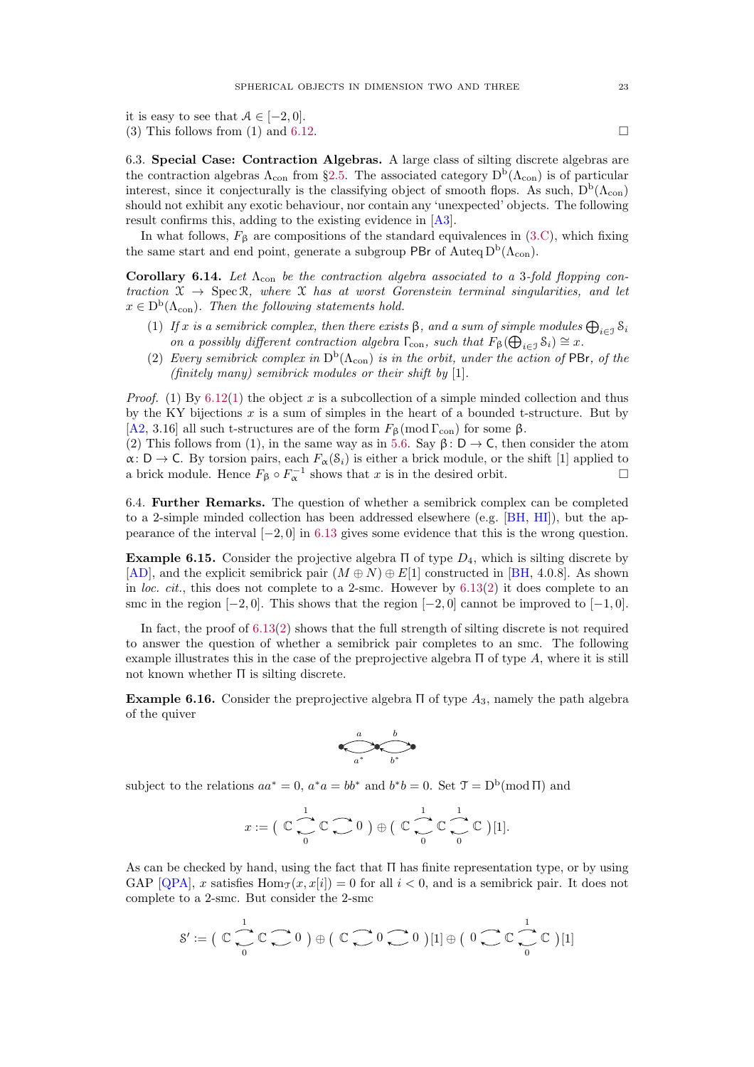<span id="page-22-4"></span>it is easy to see that  $A \in [-2, 0]$ . (3) This follows from (1) and [6.12.](#page-21-0)

<span id="page-22-3"></span>6.3. Special Case: Contraction Algebras. A large class of silting discrete algebras are the contraction algebras  $\Lambda_{\rm con}$  from §[2.5.](#page-8-1) The associated category  $D^{\rm b}(\Lambda_{\rm con})$  is of particular interest, since it conjecturally is the classifying object of smooth flops. As such,  $D^b(\Lambda_{con})$ should not exhibit any exotic behaviour, nor contain any 'unexpected' objects. The following result confirms this, adding to the existing evidence in [\[A3\]](#page-23-15).

In what follows,  $F_{\beta}$  are compositions of the standard equivalences in [\(3.C\)](#page-11-1), which fixing the same start and end point, generate a subgroup PBr of Auteq  $D<sup>b</sup>(\Lambda<sub>con</sub>)$ .

<span id="page-22-2"></span>Corollary 6.14. Let  $\Lambda_{\rm con}$  be the contraction algebra associated to a 3-fold flopping contraction  $\mathcal{X} \to \text{Spec } \mathcal{R}$ , where  $\mathcal{X}$  has at worst Gorenstein terminal singularities, and let  $x \in D^b(\Lambda_{con})$ . Then the following statements hold.

- (1) If x is a semibrick complex, then there exists  $\beta$ , and a sum of simple modules  $\bigoplus_{i\in\mathcal{I}} \mathcal{S}_i$ on a possibly different contraction algebra  $\Gamma_{\text{con}}$ , such that  $F_{\beta}(\bigoplus_{i \in \mathcal{I}} \mathcal{S}_i) \cong x$ .
- (2) Every semibrick complex in  $D^b(\Lambda_{con})$  is in the orbit, under the action of PBr, of the (finitely many) semibrick modules or their shift by [1].

*Proof.* (1) By [6.12\(](#page-21-0)[1\)](#page-21-2) the object x is a subcollection of a simple minded collection and thus by the KY bijections  $x$  is a sum of simples in the heart of a bounded t-structure. But by [\[A2,](#page-23-16) 3.16] all such t-structures are of the form  $F_6 \pmod{\Gamma_{con}}$  for some  $\beta$ .

(2) This follows from (1), in the same way as in [5.6.](#page-17-1) Say  $\beta : D \to C$ , then consider the atom  $\alpha: D \to C$ . By torsion pairs, each  $F_{\alpha}(\mathcal{S}_i)$  is either a brick module, or the shift [1] applied to a brick module. Hence  $F_{\beta} \circ F_{\alpha}^{-1}$  shows that x is in the desired orbit.

6.4. Further Remarks. The question of whether a semibrick complex can be completed to a 2-simple minded collection has been addressed elsewhere (e.g. [\[BH,](#page-23-7) [HI\]](#page-23-6)), but the appearance of the interval  $[-2, 0]$  in [6.13](#page-21-1) gives some evidence that this is the wrong question.

<span id="page-22-0"></span>Example 6.15. Consider the projective algebra  $\Pi$  of type  $D_4$ , which is silting discrete by [\[AD\]](#page-23-27), and the explicit semibrick pair  $(M \oplus N) \oplus E[1]$  constructed in [\[BH,](#page-23-7) 4.0.8]. As shown in loc. cit., this does not complete to a 2-smc. However by [6.13\(](#page-21-1)[2\)](#page-21-3) it does complete to an smc in the region  $[-2, 0]$ . This shows that the region  $[-2, 0]$  cannot be improved to  $[-1, 0]$ .

In fact, the proof of  $6.13(2)$  $6.13(2)$  shows that the full strength of silting discrete is not required to answer the question of whether a semibrick pair completes to an smc. The following example illustrates this in the case of the preprojective algebra  $\Pi$  of type  $A$ , where it is still not known whether Π is silting discrete.

<span id="page-22-1"></span>**Example 6.16.** Consider the preprojective algebra  $\Pi$  of type  $A_3$ , namely the path algebra of the quiver



subject to the relations  $aa^* = 0$ ,  $a^*a = bb^*$  and  $b^*b = 0$ . Set  $\mathcal{T} = D^b(\text{mod } \Pi)$  and

$$
x:=\big(\begin{array}{c}\mathbb C\end{array}\bigcup\limits_{0}^{1}\mathbb C\ \bigcap\limits_{0}^{1}\mathbb O\ \big)\oplus\big(\begin{array}{c}\mathbb C\end{array}\bigcup\limits_{0}^{1}\mathbb C\ \bigcap\limits_{0}^{1}\mathbb C\ \big)[1].
$$

As can be checked by hand, using the fact that  $\Pi$  has finite representation type, or by using GAP [\[QPA\]](#page-24-19), x satisfies  $\text{Hom}_{\mathcal{T}}(x, x[i]) = 0$  for all  $i < 0$ , and is a semibrick pair. It does not complete to a 2-smc. But consider the 2-smc

$$
\mathcal{S}' := \big(\begin{array}{c} \mathbb{C} \\ \begin{array}{c} \hline \\ \hline \end{array} \end{array}\right) \mathbb{C} \begin{array}{c} \hline \\ \hline \end{array} \begin{array}{c} \hline \end{array} \begin{array}{c} \hline \end{array} \begin{array}{c} \hline \end{array} \begin{array}{c} \hline \end{array} \begin{array}{c} \hline \end{array} \begin{array}{c} \hline \end{array} \begin{array}{c} \hline \end{array} \begin{array}{c} \hline \end{array} \begin{array}{c} \hline \end{array} \begin{array}{c} \hline \end{array} \begin{array}{c} \hline \end{array} \begin{array}{c} \hline \end{array} \begin{array}{c} \hline \end{array} \begin{array}{c} \hline \end{array} \begin{array}{c} \hline \end{array} \begin{array}{c} \hline \end{array} \begin{array}{c} \hline \end{array} \begin{array}{c} \hline \end{array} \begin{array}{c} \hline \end{array} \begin{array}{c} \hline \end{array} \begin{array}{c} \hline \end{array} \begin{array}{c} \hline \end{array} \begin{array}{c} \hline \end{array} \begin{array}{c} \hline \end{array} \begin{array}{c} \hline \end{array} \begin{array}{c} \hline \end{array} \begin{array}{c} \hline \end{array} \begin{array}{c} \hline \end{array} \begin{array}{c} \hline \end{array} \begin{array}{c} \hline \end{array} \begin{array}{c} \hline \end{array} \begin{array}{c} \hline \end{array} \begin{array}{c} \hline \end{array} \begin{array}{c} \hline \end{array} \begin{array}{c} \hline \end{array} \begin{array}{c} \hline \end{array} \begin{array}{c} \hline \end{array} \begin{array}{c} \hline \end{array} \begin{array}{c} \hline \end{array} \begin{array}{c} \hline \end{array} \begin{array}{c} \hline \end{array} \begin{array}{c} \hline \end{array} \begin{array}{c} \hline \end{array} \begin{array}{c} \hline \end{array} \begin{array}{c} \hline \end{array} \begin{array}{c} \hline \
$$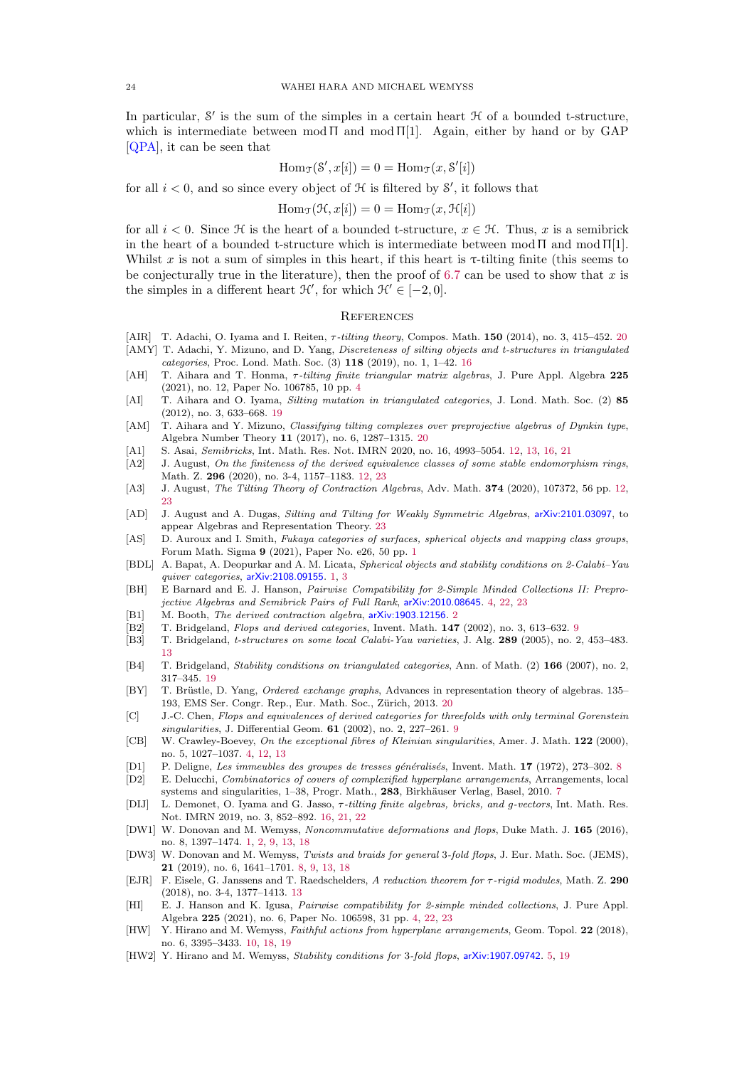<span id="page-23-28"></span>In particular,  $S'$  is the sum of the simples in a certain heart  $H$  of a bounded t-structure, which is intermediate between  $mod \Pi$  and  $mod \Pi[1]$ . Again, either by hand or by GAP [\[QPA\]](#page-24-19), it can be seen that

$$
\operatorname{Hom}_{\mathfrak{T}}(\mathcal{S}', x[i]) = 0 = \operatorname{Hom}_{\mathfrak{T}}(x, \mathcal{S}'[i])
$$

for all  $i < 0$ , and so since every object of  $H$  is filtered by  $S'$ , it follows that

$$
\operatorname{Hom}_{\mathfrak{I}}(\mathfrak{H}, x[i]) = 0 = \operatorname{Hom}_{\mathfrak{I}}(x, \mathfrak{H}[i])
$$

for all  $i < 0$ . Since H is the heart of a bounded t-structure,  $x \in \mathcal{H}$ . Thus, x is a semibrick in the heart of a bounded t-structure which is intermediate between  $mod \Pi$  and  $mod \Pi[1]$ . Whilst x is not a sum of simples in this heart, if this heart is  $\tau$ -tilting finite (this seems to be conjecturally true in the literature), then the proof of [6.7](#page-19-5) can be used to show that  $x$  is the simples in a different heart  $\mathcal{H}'$ , for which  $\mathcal{H}' \in [-2,0]$ .

## **REFERENCES**

- <span id="page-23-26"></span>[AIR] T. Adachi, O. Iyama and I. Reiten,  $\tau$ -tilting theory, Compos. Math. 150 ([20](#page-19-6)14), no. 3, 415–452. 20
- <span id="page-23-21"></span>[AMY] T. Adachi, Y. Mizuno, and D. Yang, Discreteness of silting objects and t-structures in triangulated categories, Proc. Lond. Math. Soc. (3) 118 (2019), no. 1, 1–42. [16](#page-15-5)
- <span id="page-23-5"></span>[AH] T. Aihara and T. Honma, τ-tilting finite triangular matrix algebras, J. Pure Appl. Algebra 225 (2021), no. 12, Paper No. 106785, 10 pp. [4](#page-3-3)
- <span id="page-23-23"></span>[AI] T. Aihara and O. Iyama, Silting mutation in triangulated categories, J. Lond. Math. Soc. (2) 85 (2012), no. 3, 633–668. [19](#page-18-6)
- <span id="page-23-24"></span>[AM] T. Aihara and Y. Mizuno, *Classifying tilting complexes over preprojective algebras of Dynkin type*, Algebra Number Theory 11 (2017), no. 6, 1287–1315. [20](#page-19-6)
- <span id="page-23-17"></span>[A1] S. Asai, Semibricks, Int. Math. Res. Not. IMRN 2020, no. 16, 4993–5054. [12,](#page-11-4) [13,](#page-12-6) [16,](#page-15-5) [21](#page-20-2)
- <span id="page-23-16"></span>[A2] J. August, On the finiteness of the derived equivalence classes of some stable endomorphism rings, Math. Z. 296 (2020), no. 3-4, 1157–1183. [12,](#page-11-4) [23](#page-22-4)
- <span id="page-23-15"></span>[A3] J. August, The Tilting Theory of Contraction Algebras, Adv. Math. 374 (2020), 107372, 56 pp. [12,](#page-11-4) [23](#page-22-4)
- <span id="page-23-27"></span>[AD] J. August and A. Dugas, Silting and Tilting for Weakly Symmetric Algebras, [arXiv:2101.03097](https://arxiv.org/pdf/2101.03097.pdf), to appear Algebras and Representation Theory. [23](#page-22-4)
- <span id="page-23-0"></span>[AS] D. Auroux and I. Smith, Fukaya categories of surfaces, spherical objects and mapping class groups, Forum Math. Sigma 9 (2021), Paper No. e26, 50 pp. [1](#page-0-0)
- <span id="page-23-1"></span>[BDL] A. Bapat, A. Deopurkar and A. M. Licata, Spherical objects and stability conditions on 2-Calabi–Yau quiver categories, [arXiv:2108.09155](https://arxiv.org/pdf/2108.09155.pdf). [1,](#page-0-0) [3](#page-2-1)
- <span id="page-23-7"></span>[BH] E Barnard and E. J. Hanson, Pairwise Compatibility for 2-Simple Minded Collections II: Preprojective Algebras and Semibrick Pairs of Full Rank, [arXiv:2010.08645](https://arxiv.org/pdf/2010.08645.pdf). [4,](#page-3-3) [22,](#page-21-4) [23](#page-22-4)
- <span id="page-23-3"></span>[B1] M. Booth, The derived contraction algebra, [arXiv:1903.12156](https://arxiv.org/pdf/1903.12156.pdf). [2](#page-1-2)
- <span id="page-23-12"></span>[B2] T. Bridgeland, Flops and derived categories, Invent. Math. 147 (2002), no. 3, 613–632. [9](#page-8-6)
- <span id="page-23-19"></span>[B3] T. Bridgeland, t-structures on some local Calabi-Yau varieties, J. Alg. 289 (2005), no. 2, 453–483. [13](#page-12-6)
- <span id="page-23-22"></span>[B4] T. Bridgeland, Stability conditions on triangulated categories, Ann. of Math. (2) 166 (2007), no. 2, 317–345. [19](#page-18-6)
- <span id="page-23-25"></span>[BY] T. Brüstle, D. Yang, *Ordered exchange graphs*, Advances in representation theory of algebras. 135– 193, EMS Ser. Congr. Rep., Eur. Math. Soc., Zürich, [20](#page-19-6)13. 20
- <span id="page-23-13"></span>[C] J.-C. Chen, Flops and equivalences of derived categories for threefolds with only terminal Gorenstein singularities, J. Differential Geom. **61** (2002), no. 2, 227-261. [9](#page-8-6)
- <span id="page-23-4"></span>[CB] W. Crawley-Boevey, On the exceptional fibres of Kleinian singularities, Amer. J. Math. 122 (2000), no. 5, 1027–1037. [4,](#page-3-3) [12,](#page-11-4) [13](#page-12-6)
- <span id="page-23-11"></span>[D1] P. Deligne, Les immeubles des groupes de tresses g´en´eralis´es, Invent. Math. 17 (1972), 273–302. [8](#page-7-3)
- <span id="page-23-9"></span>[D2] E. Delucchi, Combinatorics of covers of complexified hyperplane arrangements, Arrangements, local systems and singularities, 1–38, Progr. Math., 283, Birkhäuser Verlag, Basel, 2010. [7](#page-6-4)
- <span id="page-23-20"></span>[DIJ] L. Demonet, O. Iyama and G. Jasso, τ-tilting finite algebras, bricks, and g-vectors, Int. Math. Res. Not. IMRN 2019, no. 3, 852–892. [16,](#page-15-5) [21,](#page-20-2) [22](#page-21-4)
- <span id="page-23-2"></span>[DW1] W. Donovan and M. Wemyss, Noncommutative deformations and flops, Duke Math. J. 165 (2016), no. 8, 1397–1474. [1,](#page-0-0) [2,](#page-1-2) [9,](#page-8-6) [13,](#page-12-6) [18](#page-17-4)
- <span id="page-23-10"></span>[DW3] W. Donovan and M. Wemyss, Twists and braids for general 3-fold flops, J. Eur. Math. Soc. (JEMS), 21 (2019), no. 6, 1641–1701. [8,](#page-7-3) [9,](#page-8-6) [13,](#page-12-6) [18](#page-17-4)
- <span id="page-23-18"></span>[EJR] F. Eisele, G. Janssens and T. Raedschelders, A reduction theorem for τ-rigid modules, Math. Z. 290 (2018), no. 3-4, 1377–1413. [13](#page-12-6)
- <span id="page-23-6"></span>[HI] E. J. Hanson and K. Igusa, Pairwise compatibility for 2-simple minded collections, J. Pure Appl. Algebra 225 (2021), no. 6, Paper No. 106598, 31 pp. [4,](#page-3-3) [22,](#page-21-4) [23](#page-22-4)
- <span id="page-23-14"></span>[HW] Y. Hirano and M. Wemyss, Faithful actions from hyperplane arrangements, Geom. Topol. 22 (2018), no. 6, 3395–3433. [10,](#page-9-10) [18,](#page-17-4) [19](#page-18-6)
- <span id="page-23-8"></span>[HW2] Y. Hirano and M. Wemyss, Stability conditions for 3-fold flops, [arXiv:1907.09742](https://arxiv.org/pdf/1907.09742.pdf). [5,](#page-4-4) [19](#page-18-6)